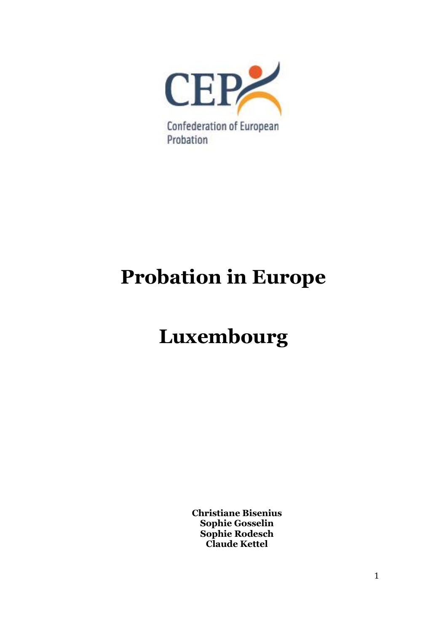

# **Probation in Europe**

# **Luxembourg**

**Christiane Bisenius Sophie Gosselin Sophie Rodesch Claude Kettel**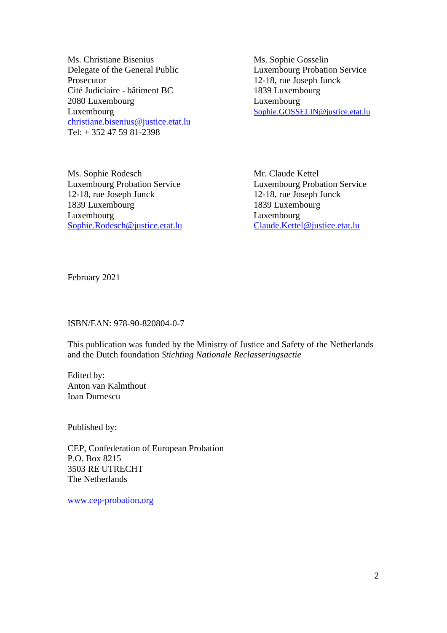Ms. Christiane Bisenius Ms. Sophie Gosselin Delegate of the General Public Luxembourg Probation Service Prosecutor 12-18, rue Joseph Junck Cité Judiciaire - bâtiment BC 1839 Luxembourg 2080 Luxembourg Luxembourg Luxembourg [Sophie.GOSSELIN@justice.etat.lu](mailto:Sophie.GOSSELIN@justice.etat.lu) [christiane.bisenius@justice.etat.lu](mailto:christiane.bisenius@justice.etat.lu) Tel: + 352 47 59 81-2398

Ms. Sophie Rodesch Mr. Claude Kettel Luxembourg Probation Service Luxembourg Probation Service 12-18, rue Joseph Junck 12-18, rue Joseph Junck 1839 Luxembourg 1839 Luxembourg Luxembourg Luxembourg Luxembourg [Sophie.Rodesch@justice.etat.lu](mailto:Sophie.Rodesch@justice.etat.lu) [Claude.Kettel@justice.etat.lu](mailto:Claude.Kettel@justice.etat.lu)

February 2021

## ISBN/EAN: 978-90-820804-0-7

This publication was funded by the Ministry of Justice and Safety of the Netherlands and the Dutch foundation *Stichting Nationale Reclasseringsactie*

Edited by: Anton van Kalmthout Ioan Durnescu

Published by:

CEP, Confederation of European Probation P.O. Box 8215 3503 RE UTRECHT The Netherlands

[www.cep-probation.org](http://www.cep-probation.org/)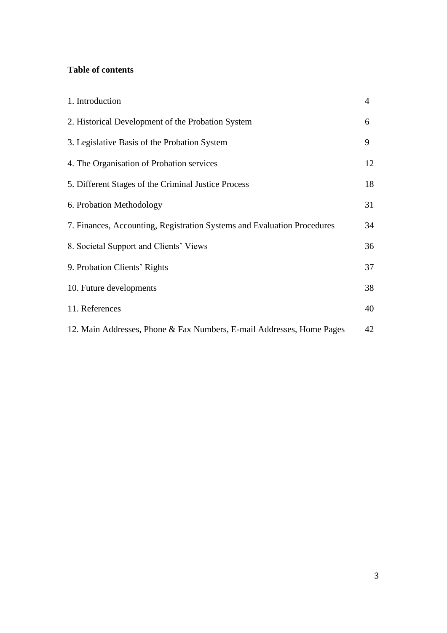## **Table of contents**

| 1. Introduction                                                         | $\overline{4}$ |
|-------------------------------------------------------------------------|----------------|
| 2. Historical Development of the Probation System                       | 6              |
| 3. Legislative Basis of the Probation System                            | 9              |
| 4. The Organisation of Probation services                               | 12             |
| 5. Different Stages of the Criminal Justice Process                     | 18             |
| 6. Probation Methodology                                                | 31             |
| 7. Finances, Accounting, Registration Systems and Evaluation Procedures | 34             |
| 8. Societal Support and Clients' Views                                  | 36             |
| 9. Probation Clients' Rights                                            | 37             |
| 10. Future developments                                                 | 38             |
| 11. References                                                          | 40             |
| 12. Main Addresses, Phone & Fax Numbers, E-mail Addresses, Home Pages   | 42             |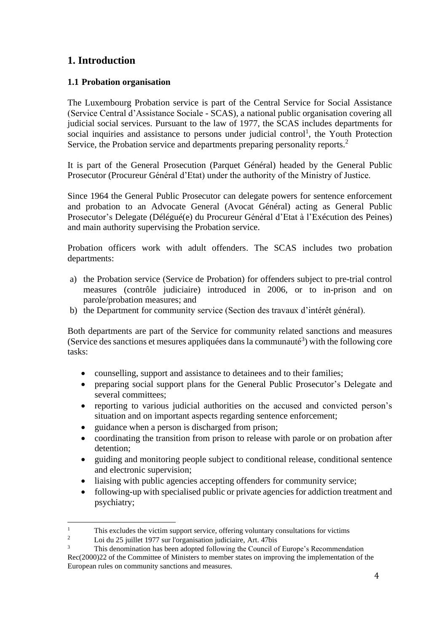# **1. Introduction**

## **1.1 Probation organisation**

The Luxembourg Probation service is part of the Central Service for Social Assistance (Service Central d'Assistance Sociale - SCAS), a national public organisation covering all judicial social services. Pursuant to the law of 1977, the SCAS includes departments for social inquiries and assistance to persons under judicial control<sup>1</sup>, the Youth Protection Service, the Probation service and departments preparing personality reports.<sup>2</sup>

It is part of the General Prosecution (Parquet Général) headed by the General Public Prosecutor (Procureur Général d'Etat) under the authority of the Ministry of Justice.

Since 1964 the General Public Prosecutor can delegate powers for sentence enforcement and probation to an Advocate General (Avocat Général) acting as General Public Prosecutor's Delegate (Délégué(e) du Procureur Général d'Etat à l'Exécution des Peines) and main authority supervising the Probation service.

Probation officers work with adult offenders. The SCAS includes two probation departments:

- a) the Probation service (Service de Probation) for offenders subject to pre-trial control measures (contrôle judiciaire) introduced in 2006, or to in-prison and on parole/probation measures; and
- b) the Department for community service (Section des travaux d'intérêt général).

Both departments are part of the Service for community related sanctions and measures (Service des sanctions et mesures appliquées dans la communauté<sup>3</sup>) with the following core tasks:

- counselling, support and assistance to detainees and to their families;
- preparing social support plans for the General Public Prosecutor's Delegate and several committees;
- reporting to various judicial authorities on the accused and convicted person's situation and on important aspects regarding sentence enforcement;
- guidance when a person is discharged from prison;
- coordinating the transition from prison to release with parole or on probation after detention;
- guiding and monitoring people subject to conditional release, conditional sentence and electronic supervision;
- liaising with public agencies accepting offenders for community service;
- following-up with specialised public or private agencies for addiction treatment and psychiatry;

<sup>&</sup>lt;sup>1</sup><br>This excludes the victim support service, offering voluntary consultations for victims<br> $\frac{2}{5}$  in the 25 initial 1077 and languagination indicipies  $\Delta t + 47$ 

 $\frac{2}{3}$  Loi du 25 juillet 1977 sur l'organisation judiciaire, Art. 47bis

<sup>3</sup> This denomination has been adopted following the Council of Europe's Recommendation Rec(2000)22 of the Committee of Ministers to member states on improving the implementation of the European rules on community sanctions and measures.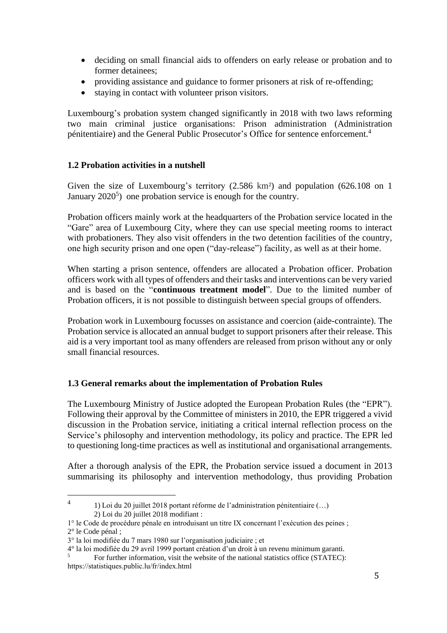- deciding on small financial aids to offenders on early release or probation and to former detainees;
- providing assistance and guidance to former prisoners at risk of re-offending;
- staying in contact with volunteer prison visitors.

Luxembourg's probation system changed significantly in 2018 with two laws reforming two main criminal justice organisations: Prison administration (Administration pénitentiaire) and the General Public Prosecutor's Office for sentence enforcement. 4

## **1.2 Probation activities in a nutshell**

Given the size of Luxembourg's territory (2.586 km²) and population (626.108 on 1 January  $2020^5$ ) one probation service is enough for the country.

Probation officers mainly work at the headquarters of the Probation service located in the "Gare" area of Luxembourg City, where they can use special meeting rooms to interact with probationers. They also visit offenders in the two detention facilities of the country, one high security prison and one open ("day-release") facility, as well as at their home.

When starting a prison sentence, offenders are allocated a Probation officer. Probation officers work with all types of offenders and their tasks and interventions can be very varied and is based on the "**continuous treatment model**". Due to the limited number of Probation officers, it is not possible to distinguish between special groups of offenders.

Probation work in Luxembourg focusses on assistance and coercion (aide-contrainte). The Probation service is allocated an annual budget to support prisoners after their release. This aid is a very important tool as many offenders are released from prison without any or only small financial resources.

## **1.3 General remarks about the implementation of Probation Rules**

The Luxembourg Ministry of Justice adopted the European Probation Rules (the "EPR"). Following their approval by the Committee of ministers in 2010, the EPR triggered a vivid discussion in the Probation service, initiating a critical internal reflection process on the Service's philosophy and intervention methodology, its policy and practice. The EPR led to questioning long-time practices as well as institutional and organisational arrangements.

After a thorough analysis of the EPR, the Probation service issued a document in 2013 summarising its philosophy and intervention methodology, thus providing Probation

<sup>4</sup> 1) Loi du 20 juillet 2018 portant réforme de l'administration pénitentiaire (…) 2) Loi du 20 juillet 2018 modifiant :

<sup>1°</sup> le Code de procédure pénale en introduisant un titre IX concernant l'exécution des peines ; 2° le Code pénal ;

<sup>3°</sup> la loi modifiée du 7 mars 1980 sur l'organisation judiciaire ; et

<sup>4°</sup> la loi modifiée du 29 avril 1999 portant création d'un droit à un revenu minimum garanti.

<sup>5</sup> For further information, visit the website of the national statistics office (STATEC): <https://statistiques.public.lu/fr/index.html>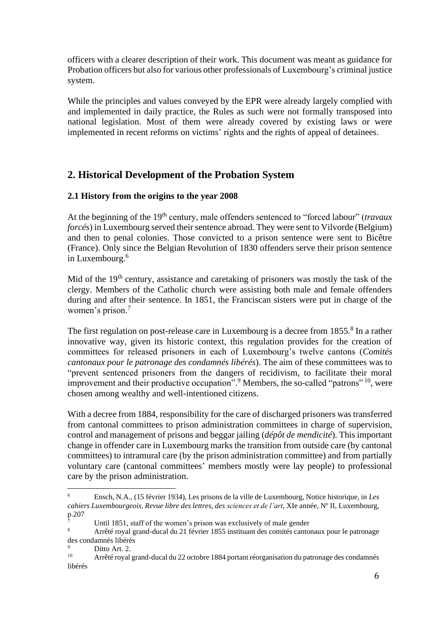officers with a clearer description of their work. This document was meant as guidance for Probation officers but also for various other professionals of Luxembourg's criminal justice system.

While the principles and values conveyed by the EPR were already largely complied with and implemented in daily practice, the Rules as such were not formally transposed into national legislation. Most of them were already covered by existing laws or were implemented in recent reforms on victims' rights and the rights of appeal of detainees.

# **2. Historical Development of the Probation System**

## **2.1 History from the origins to the year 2008**

At the beginning of the 19<sup>th</sup> century, male offenders sentenced to "forced labour" (*travaux forcés*) in Luxembourg served their sentence abroad. They were sent to Vilvorde (Belgium) and then to penal colonies. Those convicted to a prison sentence were sent to Bicêtre (France). Only since the Belgian Revolution of 1830 offenders serve their prison sentence in Luxembourg.<sup>6</sup>

Mid of the 19<sup>th</sup> century, assistance and caretaking of prisoners was mostly the task of the clergy. Members of the Catholic church were assisting both male and female offenders during and after their sentence. In 1851, the Franciscan sisters were put in charge of the women's prison.<sup>7</sup>

The first regulation on post-release care in Luxembourg is a decree from 1855.<sup>8</sup> In a rather innovative way, given its historic context, this regulation provides for the creation of committees for released prisoners in each of Luxembourg's twelve cantons (*Comités cantonaux pour le patronage des condamnés libérés*). The aim of these committees was to "prevent sentenced prisoners from the dangers of recidivism, to facilitate their moral improvement and their productive occupation".<sup>9</sup> Members, the so-called "patrons"  $10$ , were chosen among wealthy and well-intentioned citizens.

With a decree from 1884, responsibility for the care of discharged prisoners was transferred from cantonal committees to prison administration committees in charge of supervision, control and management of prisons and beggar jailing (*dépôt de mendicité*). This important change in offender care in Luxembourg marks the transition from outside care (by cantonal committees) to intramural care (by the prison administration committee) and from partially voluntary care (cantonal committees' members mostly were lay people) to professional care by the prison administration.

<sup>6</sup> Ensch, N.A., (15 février 1934), Les prisons de la ville de Luxembourg, Notice historique, in *Les cahiers Luxembourgeois, Revue libre des lettres, des sciences et de l'art*, XIe année, Nº II, Luxembourg, p.207

<sup>&</sup>lt;sup>7</sup> Until 1851, staff of the women's prison was exclusively of male gender<br> $\frac{8}{2}$  Arrêté rough grand duced du 21 février 1855 instituent des comitée centers

<sup>8</sup> Arrêté royal grand-ducal du 21 février 1855 instituant des comités cantonaux pour le patronage des condamnés libérés

 $\frac{9}{10}$  Ditto Art. 2.

<sup>10</sup> Arrêté royal grand-ducal du 22 octobre 1884 portant réorganisation du patronage des condamnés libérés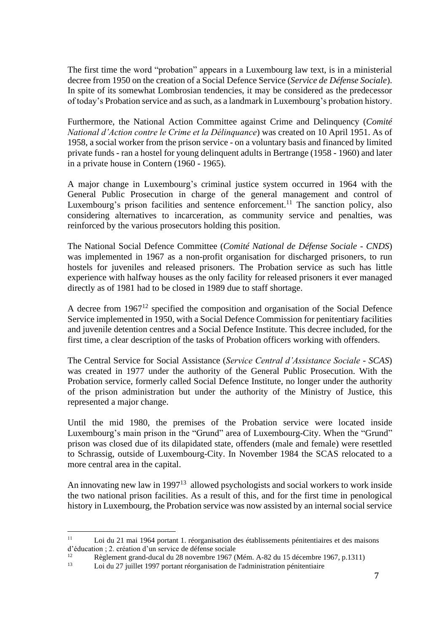The first time the word "probation" appears in a Luxembourg law text, is in a ministerial decree from 1950 on the creation of a Social Defence Service (*Service de Défense Sociale*). In spite of its somewhat Lombrosian tendencies, it may be considered as the predecessor of today's Probation service and as such, as a landmark in Luxembourg's probation history.

Furthermore, the National Action Committee against Crime and Delinquency (*Comité National d'Action contre le Crime et la Délinquance*) was created on 10 April 1951. As of 1958, a social worker from the prison service - on a voluntary basis and financed by limited private funds - ran a hostel for young delinquent adults in Bertrange (1958 - 1960) and later in a private house in Contern (1960 - 1965).

A major change in Luxembourg's criminal justice system occurred in 1964 with the General Public Prosecution in charge of the general management and control of Luxembourg's prison facilities and sentence enforcement.<sup>11</sup> The sanction policy, also considering alternatives to incarceration, as community service and penalties, was reinforced by the various prosecutors holding this position.

The National Social Defence Committee (*Comité National de Défense Sociale - CNDS*) was implemented in 1967 as a non-profit organisation for discharged prisoners, to run hostels for juveniles and released prisoners. The Probation service as such has little experience with halfway houses as the only facility for released prisoners it ever managed directly as of 1981 had to be closed in 1989 due to staff shortage.

A decree from 1967<sup>12</sup> specified the composition and organisation of the Social Defence Service implemented in 1950, with a Social Defence Commission for penitentiary facilities and juvenile detention centres and a Social Defence Institute. This decree included, for the first time, a clear description of the tasks of Probation officers working with offenders.

The Central Service for Social Assistance (*Service Central d'Assistance Sociale - SCAS*) was created in 1977 under the authority of the General Public Prosecution. With the Probation service, formerly called Social Defence Institute, no longer under the authority of the prison administration but under the authority of the Ministry of Justice, this represented a major change.

Until the mid 1980, the premises of the Probation service were located inside Luxembourg's main prison in the "Grund" area of Luxembourg-City. When the "Grund" prison was closed due of its dilapidated state, offenders (male and female) were resettled to Schrassig, outside of Luxembourg-City. In November 1984 the SCAS relocated to a more central area in the capital.

An innovating new law in 1997<sup>13</sup> allowed psychologists and social workers to work inside the two national prison facilities. As a result of this, and for the first time in penological history in Luxembourg, the Probation service was now assisted by an internal social service

<sup>11</sup> Loi du 21 mai 1964 portant 1. réorganisation des établissements pénitentiaires et des maisons d'éducation ; 2. création d'un service de défense sociale

<sup>&</sup>lt;sup>12</sup> Règlement grand-ducal du 28 novembre 1967 (Mém. A-82 du 15 décembre 1967, p.1311)<br>13 Loi du 27 iuillet 1997 portant réorganisation de l'administration pénitentiaire

Loi du 27 juillet 1997 portant réorganisation de l'administration pénitentiaire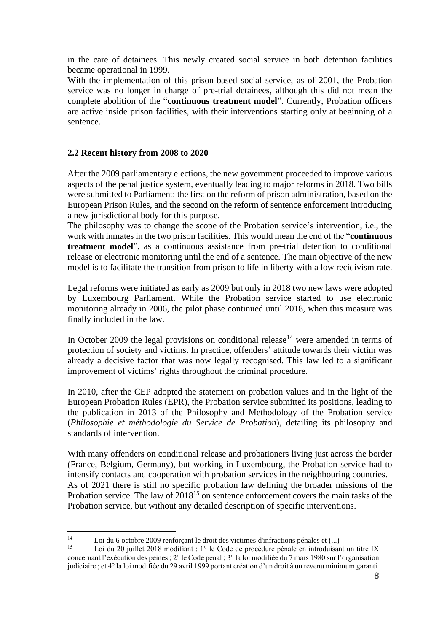in the care of detainees. This newly created social service in both detention facilities became operational in 1999.

With the implementation of this prison-based social service, as of 2001, the Probation service was no longer in charge of pre-trial detainees, although this did not mean the complete abolition of the "**continuous treatment model**". Currently, Probation officers are active inside prison facilities, with their interventions starting only at beginning of a sentence.

## **2.2 Recent history from 2008 to 2020**

After the 2009 parliamentary elections, the new government proceeded to improve various aspects of the penal justice system, eventually leading to major reforms in 2018. Two bills were submitted to Parliament: the first on the reform of prison administration, based on the European Prison Rules, and the second on the reform of sentence enforcement introducing a new jurisdictional body for this purpose.

The philosophy was to change the scope of the Probation service's intervention, i.e., the work with inmates in the two prison facilities. This would mean the end of the "**continuous treatment model**", as a continuous assistance from pre-trial detention to conditional release or electronic monitoring until the end of a sentence. The main objective of the new model is to facilitate the transition from prison to life in liberty with a low recidivism rate.

Legal reforms were initiated as early as 2009 but only in 2018 two new laws were adopted by Luxembourg Parliament. While the Probation service started to use electronic monitoring already in 2006, the pilot phase continued until 2018, when this measure was finally included in the law.

In October 2009 the legal provisions on conditional release<sup>14</sup> were amended in terms of protection of society and victims. In practice, offenders' attitude towards their victim was already a decisive factor that was now legally recognised. This law led to a significant improvement of victims' rights throughout the criminal procedure.

In 2010, after the CEP adopted the statement on probation values and in the light of the European Probation Rules (EPR), the Probation service submitted its positions, leading to the publication in 2013 of the Philosophy and Methodology of the Probation service (*Philosophie et méthodologie du Service de Probation*), detailing its philosophy and standards of intervention.

With many offenders on conditional release and probationers living just across the border (France, Belgium, Germany), but working in Luxembourg, the Probation service had to intensify contacts and cooperation with probation services in the neighbouring countries. As of 2021 there is still no specific probation law defining the broader missions of the Probation service. The law of 2018<sup>15</sup> on sentence enforcement covers the main tasks of the Probation service, but without any detailed description of specific interventions.

<sup>14</sup> Loi du 6 octobre 2009 renforçant le droit des victimes d'infractions pénales et  $(...)$ <br>15 Loi du 20 iuillet 2018 modifient : 1% le Code de precédure pénale en introduieur

Loi du 20 juillet 2018 modifiant : 1° le Code de procédure pénale en introduisant un titre IX concernant l'exécution des peines ; 2° le Code pénal ; 3° la loi modifiée du 7 mars 1980 sur l'organisation judiciaire ; et 4° la loi modifiée du 29 avril 1999 portant création d'un droit à un revenu minimum garanti.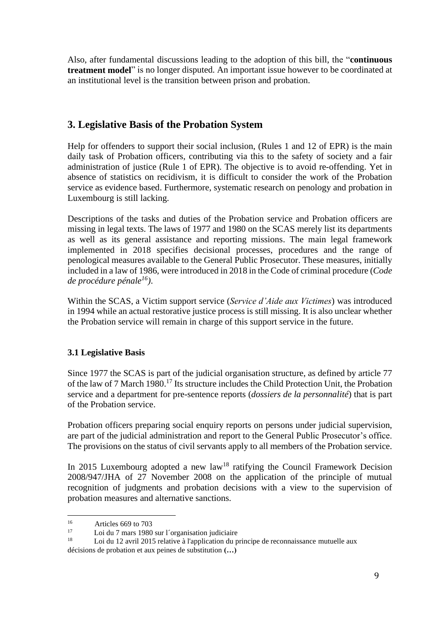Also, after fundamental discussions leading to the adoption of this bill, the "**continuous treatment model**" is no longer disputed. An important issue however to be coordinated at an institutional level is the transition between prison and probation.

# **3. Legislative Basis of the Probation System**

Help for offenders to support their social inclusion, (Rules 1 and 12 of EPR) is the main daily task of Probation officers, contributing via this to the safety of society and a fair administration of justice (Rule 1 of EPR). The objective is to avoid re-offending. Yet in absence of statistics on recidivism, it is difficult to consider the work of the Probation service as evidence based. Furthermore, systematic research on penology and probation in Luxembourg is still lacking.

Descriptions of the tasks and duties of the Probation service and Probation officers are missing in legal texts. The laws of 1977 and 1980 on the SCAS merely list its departments as well as its general assistance and reporting missions. The main legal framework implemented in 2018 specifies decisional processes, procedures and the range of penological measures available to the General Public Prosecutor. These measures, initially included in a law of 1986, were introduced in 2018 in the Code of criminal procedure (*Code de procédure pénale<sup>16</sup>)*.

Within the SCAS, a Victim support service (*Service d'Aide aux Victimes*) was introduced in 1994 while an actual restorative justice process is still missing. It is also unclear whether the Probation service will remain in charge of this support service in the future.

## **3.1 Legislative Basis**

Since 1977 the SCAS is part of the judicial organisation structure, as defined by article 77 of the law of 7 March 1980. <sup>17</sup> Its structure includes the Child Protection Unit, the Probation service and a department for pre-sentence reports (*dossiers de la personnalité*) that is part of the Probation service.

Probation officers preparing social enquiry reports on persons under judicial supervision, are part of the judicial administration and report to the General Public Prosecutor's office. The provisions on the status of civil servants apply to all members of the Probation service.

In 2015 Luxembourg adopted a new  $law<sup>18</sup>$  ratifying the Council Framework Decision 2008/947/JHA of 27 November 2008 on the application of the principle of mutual recognition of judgments and probation decisions with a view to the supervision of probation measures and alternative sanctions.

 $16$  Articles 669 to 703

<sup>&</sup>lt;sup>17</sup> Loi du 7 mars 1980 sur l'organisation judiciaire

Loi du 12 avril 2015 relative à l'application du principe de reconnaissance mutuelle aux

décisions de probation et aux peines de substitution **(…)**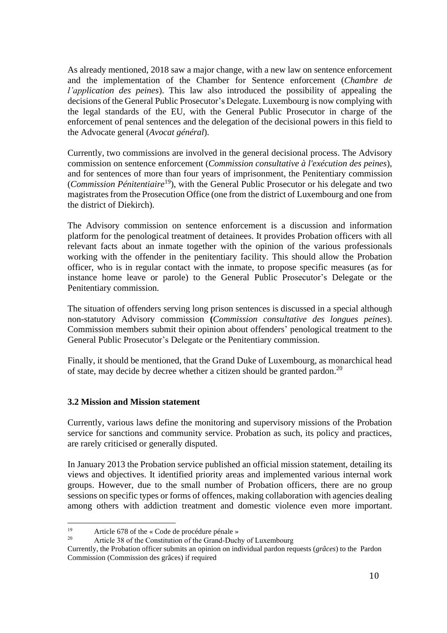As already mentioned, 2018 saw a major change, with a new law on sentence enforcement and the implementation of the Chamber for Sentence enforcement (*Chambre de l'application des peines*). This law also introduced the possibility of appealing the decisions of the General Public Prosecutor's Delegate. Luxembourg is now complying with the legal standards of the EU, with the General Public Prosecutor in charge of the enforcement of penal sentences and the delegation of the decisional powers in this field to the Advocate general (*Avocat général*).

Currently, two commissions are involved in the general decisional process. The Advisory commission on sentence enforcement (*Commission consultative à l'exécution des peines*), and for sentences of more than four years of imprisonment, the Penitentiary commission (*Commission Pénitentiaire*<sup>19</sup>), with the General Public Prosecutor or his delegate and two magistrates from the Prosecution Office (one from the district of Luxembourg and one from the district of Diekirch).

The Advisory commission on sentence enforcement is a discussion and information platform for the penological treatment of detainees. It provides Probation officers with all relevant facts about an inmate together with the opinion of the various professionals working with the offender in the penitentiary facility. This should allow the Probation officer, who is in regular contact with the inmate, to propose specific measures (as for instance home leave or parole) to the General Public Prosecutor's Delegate or the Penitentiary commission.

The situation of offenders serving long prison sentences is discussed in a special although non-statutory Advisory commission **(***Commission consultative des longues peines*). Commission members submit their opinion about offenders' penological treatment to the General Public Prosecutor's Delegate or the Penitentiary commission.

Finally, it should be mentioned, that the Grand Duke of Luxembourg, as monarchical head of state, may decide by decree whether a citizen should be granted pardon.<sup>20</sup>

## **3.2 Mission and Mission statement**

Currently, various laws define the monitoring and supervisory missions of the Probation service for sanctions and community service. Probation as such, its policy and practices, are rarely criticised or generally disputed.

In January 2013 the Probation service published an official mission statement, detailing its views and objectives. It identified priority areas and implemented various internal work groups. However, due to the small number of Probation officers, there are no group sessions on specific types or forms of offences, making collaboration with agencies dealing among others with addiction treatment and domestic violence even more important.

<sup>&</sup>lt;sup>19</sup> Article 678 of the « Code de procédure pénale »<br><sup>20</sup> Article 28 of the Constitution of the Croad Dual

Article 38 of the Constitution of the Grand-Duchy of Luxembourg

Currently, the Probation officer submits an opinion on individual pardon requests (*grâces*) to the Pardon Commission (Commission des grâces) if required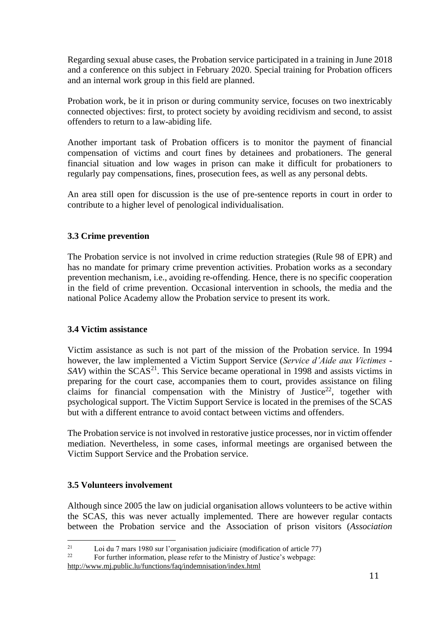Regarding sexual abuse cases, the Probation service participated in a training in June 2018 and a conference on this subject in February 2020. Special training for Probation officers and an internal work group in this field are planned.

Probation work, be it in prison or during community service, focuses on two inextricably connected objectives: first, to protect society by avoiding recidivism and second, to assist offenders to return to a law-abiding life.

Another important task of Probation officers is to monitor the payment of financial compensation of victims and court fines by detainees and probationers. The general financial situation and low wages in prison can make it difficult for probationers to regularly pay compensations, fines, prosecution fees, as well as any personal debts.

An area still open for discussion is the use of pre-sentence reports in court in order to contribute to a higher level of penological individualisation.

## **3.3 Crime prevention**

The Probation service is not involved in crime reduction strategies (Rule 98 of EPR) and has no mandate for primary crime prevention activities. Probation works as a secondary prevention mechanism, i.e., avoiding re-offending. Hence, there is no specific cooperation in the field of crime prevention. Occasional intervention in schools, the media and the national Police Academy allow the Probation service to present its work.

## **3.4 Victim assistance**

Victim assistance as such is not part of the mission of the Probation service. In 1994 however, the law implemented a Victim Support Service (*Service d'Aide aux Victimes -*  $SAV$ ) within the  $SCAS<sup>21</sup>$ . This Service became operational in 1998 and assists victims in preparing for the court case, accompanies them to court, provides assistance on filing claims for financial compensation with the Ministry of Justice<sup>22</sup>, together with psychological support. The Victim Support Service is located in the premises of the SCAS but with a different entrance to avoid contact between victims and offenders.

The Probation service is not involved in restorative justice processes, nor in victim offender mediation. Nevertheless, in some cases, informal meetings are organised between the Victim Support Service and the Probation service.

## **3.5 Volunteers involvement**

Although since 2005 the law on judicial organisation allows volunteers to be active within the SCAS, this was never actually implemented. There are however regular contacts between the Probation service and the Association of prison visitors (*Association* 

<http://www.mj.public.lu/functions/faq/indemnisation/index.html>

<sup>&</sup>lt;sup>21</sup> Loi du 7 mars 1980 sur l'organisation judiciaire (modification of article 77)<br><sup>22</sup> Eon further information, places refer to the Ministry of Justice's violine 20

For further information, please refer to the Ministry of Justice's webpage: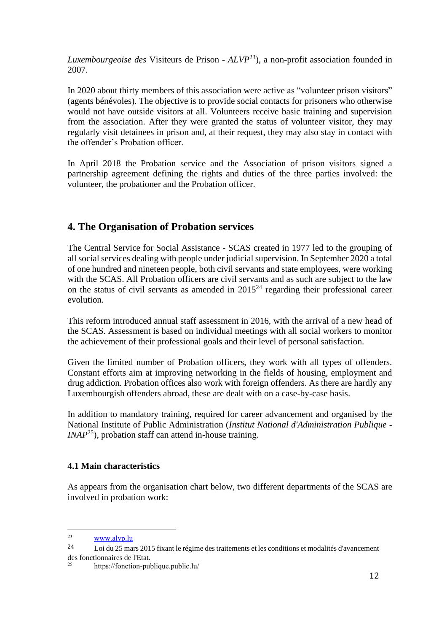*Luxembourgeoise des* Visiteurs de Prison - *ALVP*<sup>23</sup>), a non-profit association founded in 2007.

In 2020 about thirty members of this association were active as "volunteer prison visitors" (agents bénévoles). The objective is to provide social contacts for prisoners who otherwise would not have outside visitors at all. Volunteers receive basic training and supervision from the association. After they were granted the status of volunteer visitor, they may regularly visit detainees in prison and, at their request, they may also stay in contact with the offender's Probation officer.

In April 2018 the Probation service and the Association of prison visitors signed a partnership agreement defining the rights and duties of the three parties involved: the volunteer, the probationer and the Probation officer.

# **4. The Organisation of Probation services**

The Central Service for Social Assistance - SCAS created in 1977 led to the grouping of all social services dealing with people under judicial supervision. In September 2020 a total of one hundred and nineteen people, both civil servants and state employees, were working with the SCAS. All Probation officers are civil servants and as such are subject to the law on the status of civil servants as amended in  $2015<sup>24</sup>$  regarding their professional career evolution.

This reform introduced annual staff assessment in 2016, with the arrival of a new head of the SCAS. Assessment is based on individual meetings with all social workers to monitor the achievement of their professional goals and their level of personal satisfaction.

Given the limited number of Probation officers, they work with all types of offenders. Constant efforts aim at improving networking in the fields of housing, employment and drug addiction. Probation offices also work with foreign offenders. As there are hardly any Luxembourgish offenders abroad, these are dealt with on a case-by-case basis.

In addition to mandatory training, required for career advancement and organised by the National Institute of Public Administration (*Institut National d'Administration Publique - INAP*<sup>25</sup>), probation staff can attend in-house training.

## **4.1 Main characteristics**

As appears from the organisation chart below, two different departments of the SCAS are involved in probation work:

<sup>23</sup> [www.alvp.lu](http://www.alvp.lu/)

<sup>24</sup> Loi du 25 mars 2015 fixant le régime des traitements et les conditions et modalités d'avancement des fonctionnaires de l'Etat.

<sup>25</sup> <https://fonction-publique.public.lu/>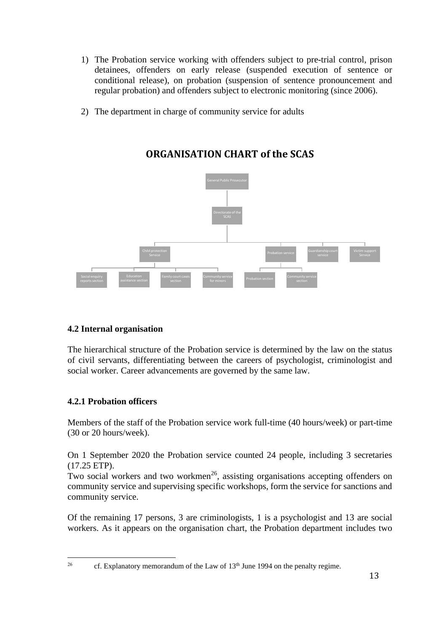- 1) The Probation service working with offenders subject to pre-trial control, prison detainees, offenders on early release (suspended execution of sentence or conditional release), on probation (suspension of sentence pronouncement and regular probation) and offenders subject to electronic monitoring (since 2006).
- 2) The department in charge of community service for adults



# **ORGANISATION CHART of the SCAS**

## **4.2 Internal organisation**

The hierarchical structure of the Probation service is determined by the law on the status of civil servants, differentiating between the careers of psychologist, criminologist and social worker. Career advancements are governed by the same law.

## **4.2.1 Probation officers**

Members of the staff of the Probation service work full-time (40 hours/week) or part-time (30 or 20 hours/week).

On 1 September 2020 the Probation service counted 24 people, including 3 secretaries (17.25 ETP).

Two social workers and two workmen<sup>26</sup>, assisting organisations accepting offenders on community service and supervising specific workshops, form the service for sanctions and community service.

Of the remaining 17 persons, 3 are criminologists, 1 is a psychologist and 13 are social workers. As it appears on the organisation chart, the Probation department includes two

<sup>&</sup>lt;sup>26</sup> cf. Explanatory memorandum of the Law of  $13<sup>th</sup>$  June 1994 on the penalty regime.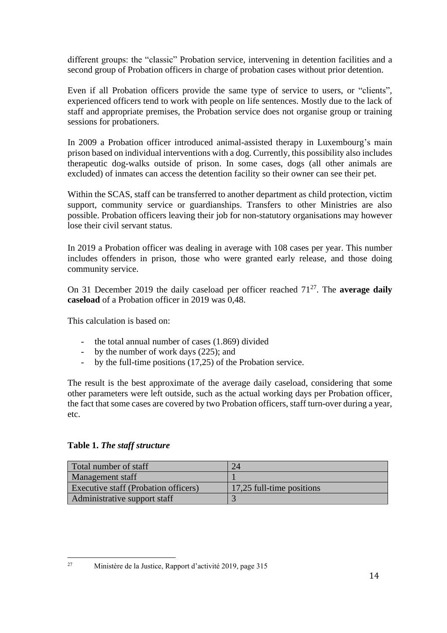different groups: the "classic" Probation service, intervening in detention facilities and a second group of Probation officers in charge of probation cases without prior detention.

Even if all Probation officers provide the same type of service to users, or "clients", experienced officers tend to work with people on life sentences. Mostly due to the lack of staff and appropriate premises, the Probation service does not organise group or training sessions for probationers.

In 2009 a Probation officer introduced animal-assisted therapy in Luxembourg's main prison based on individual interventions with a dog. Currently, this possibility also includes therapeutic dog-walks outside of prison. In some cases, dogs (all other animals are excluded) of inmates can access the detention facility so their owner can see their pet.

Within the SCAS, staff can be transferred to another department as child protection, victim support, community service or guardianships. Transfers to other Ministries are also possible. Probation officers leaving their job for non-statutory organisations may however lose their civil servant status.

In 2019 a Probation officer was dealing in average with 108 cases per year. This number includes offenders in prison, those who were granted early release, and those doing community service.

On 31 December 2019 the daily caseload per officer reached  $71^{27}$ . The **average daily caseload** of a Probation officer in 2019 was 0,48.

This calculation is based on:

- the total annual number of cases (1.869) divided
- by the number of work days (225); and
- by the full-time positions (17,25) of the Probation service.

The result is the best approximate of the average daily caseload, considering that some other parameters were left outside, such as the actual working days per Probation officer, the fact that some cases are covered by two Probation officers, staff turn-over during a year, etc.

## **Table 1.** *The staff structure*

| Total number of staff                | 24                        |
|--------------------------------------|---------------------------|
| <b>Management staff</b>              |                           |
| Executive staff (Probation officers) | 17,25 full-time positions |
| Administrative support staff         |                           |

<sup>27</sup> Ministère de la Justice, Rapport d'activité 2019, page 315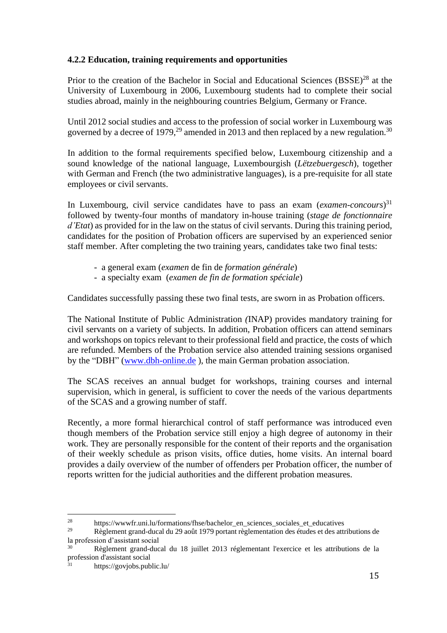## **4.2.2 Education, training requirements and opportunities**

Prior to the creation of the Bachelor in Social and Educational Sciences (BSSE)<sup>28</sup> at the University of Luxembourg in 2006, Luxembourg students had to complete their social studies abroad, mainly in the neighbouring countries Belgium, Germany or France.

Until 2012 social studies and access to the profession of social worker in Luxembourg was governed by a decree of 1979,<sup>29</sup> amended in 2013 and then replaced by a new regulation.<sup>30</sup>

In addition to the formal requirements specified below, Luxembourg citizenship and a sound knowledge of the national language, Luxembourgish (*Lëtzebuergesch*), together with German and French (the two administrative languages), is a pre-requisite for all state employees or civil servants.

In Luxembourg, civil service candidates have to pass an exam (*examen-concours*) 31 followed by twenty-four months of mandatory in-house training (*stage de fonctionnaire d'Etat*) as provided for in the law on the status of civil servants. During this training period, candidates for the position of Probation officers are supervised by an experienced senior staff member. After completing the two training years, candidates take two final tests:

- a general exam (*examen* de fin de *formation générale*)
- a specialty exam (*examen de fin de formation spéciale*)

Candidates successfully passing these two final tests, are sworn in as Probation officers.

The National Institute of Public Administration *(*INAP) provides mandatory training for civil servants on a variety of subjects. In addition, Probation officers can attend seminars and workshops on topics relevant to their professional field and practice, the costs of which are refunded. Members of the Probation service also attended training sessions organised by the "DBH" [\(www.dbh-online.de](http://www.dbh-online.de/) ), the main German probation association.

The SCAS receives an annual budget for workshops, training courses and internal supervision, which in general, is sufficient to cover the needs of the various departments of the SCAS and a growing number of staff.

Recently, a more formal hierarchical control of staff performance was introduced even though members of the Probation service still enjoy a high degree of autonomy in their work. They are personally responsible for the content of their reports and the organisation of their weekly schedule as prison visits, office duties, home visits. An internal board provides a daily overview of the number of offenders per Probation officer, the number of reports written for the judicial authorities and the different probation measures.

<sup>&</sup>lt;sup>28</sup> [https://wwwfr.uni.lu/formations/fhse/bachelor\\_en\\_sciences\\_sociales\\_et\\_educatives](https://wwwfr.uni.lu/formations/fhse/bachelor_en_sciences_sociales_et_educatives)<br><sup>29</sup> Roclament groud ducel du 20 soft 1070 pertent reglementation des études et des ettre

<sup>29</sup> Règlement grand-ducal du 29 août 1979 portant règlementation des études et des attributions de la profession d'assistant social

<sup>30</sup> Règlement grand-ducal du 18 juillet 2013 réglementant l'exercice et les attributions de la profession d'assistant social

<https://govjobs.public.lu/>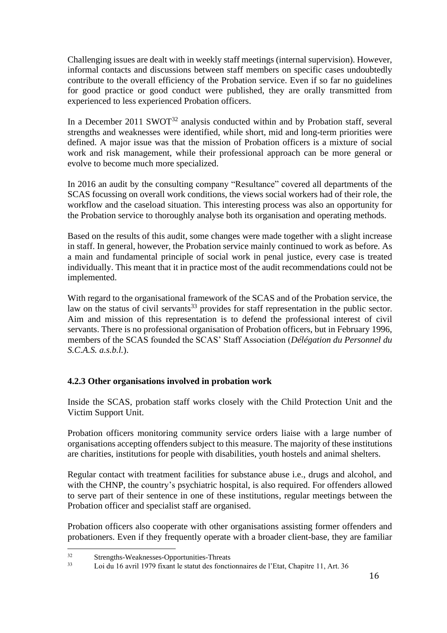Challenging issues are dealt with in weekly staff meetings (internal supervision). However, informal contacts and discussions between staff members on specific cases undoubtedly contribute to the overall efficiency of the Probation service. Even if so far no guidelines for good practice or good conduct were published, they are orally transmitted from experienced to less experienced Probation officers.

In a December 2011 SWOT<sup>32</sup> analysis conducted within and by Probation staff, several strengths and weaknesses were identified, while short, mid and long-term priorities were defined. A major issue was that the mission of Probation officers is a mixture of social work and risk management, while their professional approach can be more general or evolve to become much more specialized.

In 2016 an audit by the consulting company "Resultance" covered all departments of the SCAS focussing on overall work conditions, the views social workers had of their role, the workflow and the caseload situation. This interesting process was also an opportunity for the Probation service to thoroughly analyse both its organisation and operating methods.

Based on the results of this audit, some changes were made together with a slight increase in staff. In general, however, the Probation service mainly continued to work as before. As a main and fundamental principle of social work in penal justice, every case is treated individually. This meant that it in practice most of the audit recommendations could not be implemented.

With regard to the organisational framework of the SCAS and of the Probation service, the law on the status of civil servants<sup>33</sup> provides for staff representation in the public sector. Aim and mission of this representation is to defend the professional interest of civil servants. There is no professional organisation of Probation officers, but in February 1996, members of the SCAS founded the SCAS' Staff Association (*Délégation du Personnel du S.C.A.S. a.s.b.l.*).

## **4.2.3 Other organisations involved in probation work**

Inside the SCAS, probation staff works closely with the Child Protection Unit and the Victim Support Unit.

Probation officers monitoring community service orders liaise with a large number of organisations accepting offenders subject to this measure. The majority of these institutions are charities, institutions for people with disabilities, youth hostels and animal shelters.

Regular contact with treatment facilities for substance abuse i.e., drugs and alcohol, and with the CHNP, the country's psychiatric hospital, is also required. For offenders allowed to serve part of their sentence in one of these institutions, regular meetings between the Probation officer and specialist staff are organised.

Probation officers also cooperate with other organisations assisting former offenders and probationers. Even if they frequently operate with a broader client-base, they are familiar

 $32$  Strengths-Weaknesses-Opportunities-Threats<br> $33$  I eight 16 smil 1070 fixed is at the feast

<sup>33</sup> Loi du 16 avril 1979 fixant le statut des fonctionnaires de l'Etat, Chapitre 11, Art. 36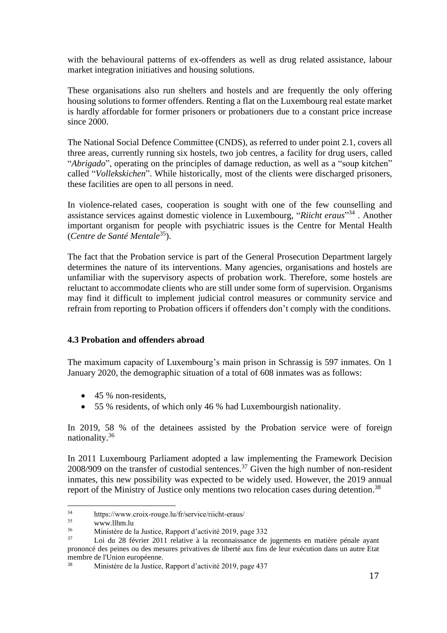with the behavioural patterns of ex-offenders as well as drug related assistance, labour market integration initiatives and housing solutions.

These organisations also run shelters and hostels and are frequently the only offering housing solutions to former offenders. Renting a flat on the Luxembourg real estate market is hardly affordable for former prisoners or probationers due to a constant price increase since 2000.

The National Social Defence Committee (CNDS), as referred to under point 2.1, covers all three areas, currently running six hostels, two job centres, a facility for drug users, called "*Abrigado*", operating on the principles of damage reduction, as well as a "soup kitchen" called "*Vollekskichen*". While historically, most of the clients were discharged prisoners, these facilities are open to all persons in need.

In violence-related cases, cooperation is sought with one of the few counselling and assistance services against domestic violence in Luxembourg, "*Riicht eraus*" 34 . Another important organism for people with psychiatric issues is the Centre for Mental Health (*Centre de Santé Mentale*<sup>35</sup>).

The fact that the Probation service is part of the General Prosecution Department largely determines the nature of its interventions. Many agencies, organisations and hostels are unfamiliar with the supervisory aspects of probation work. Therefore, some hostels are reluctant to accommodate clients who are still under some form of supervision. Organisms may find it difficult to implement judicial control measures or community service and refrain from reporting to Probation officers if offenders don't comply with the conditions.

## **4.3 Probation and offenders abroad**

The maximum capacity of Luxembourg's main prison in Schrassig is 597 inmates. On 1 January 2020, the demographic situation of a total of 608 inmates was as follows:

- 45 % non-residents,
- 55 % residents, of which only 46 % had Luxembourgish nationality.

In 2019, 58 % of the detainees assisted by the Probation service were of foreign nationality.<sup>36</sup>

In 2011 Luxembourg Parliament adopted a law implementing the Framework Decision  $2008/909$  on the transfer of custodial sentences.<sup>37</sup> Given the high number of non-resident inmates, this new possibility was expected to be widely used. However, the 2019 annual report of the Ministry of Justice only mentions two relocation cases during detention.<sup>38</sup>

<sup>&</sup>lt;sup>34</sup> <https://www.croix-rouge.lu/fr/service/riicht-eraus/><br><sup>35</sup> www.llbm.lu

 $\frac{35}{36}$  [www.llhm.lu](http://www.llhm.lu/)

<sup>36</sup> Ministère de la Justice, Rapport d'activité 2019, page 332

Loi du 28 février 2011 relative à la reconnaissance de jugements en matière pénale ayant prononcé des peines ou des mesures privatives de liberté aux fins de leur exécution dans un autre Etat membre de l'Union européenne.<br>
Ministère de la Iustice

<sup>38</sup> Ministère de la Justice, Rapport d'activité 2019, page 437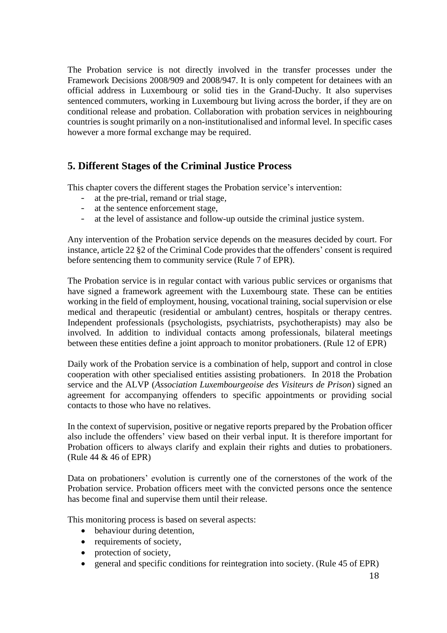The Probation service is not directly involved in the transfer processes under the Framework Decisions 2008/909 and 2008/947. It is only competent for detainees with an official address in Luxembourg or solid ties in the Grand-Duchy. It also supervises sentenced commuters, working in Luxembourg but living across the border, if they are on conditional release and probation. Collaboration with probation services in neighbouring countries is sought primarily on a non-institutionalised and informal level. In specific cases however a more formal exchange may be required.

# **5. Different Stages of the Criminal Justice Process**

This chapter covers the different stages the Probation service's intervention:

- at the pre-trial, remand or trial stage,
- at the sentence enforcement stage,
- at the level of assistance and follow-up outside the criminal justice system.

Any intervention of the Probation service depends on the measures decided by court. For instance, article 22 §2 of the Criminal Code provides that the offenders' consent is required before sentencing them to community service (Rule 7 of EPR).

The Probation service is in regular contact with various public services or organisms that have signed a framework agreement with the Luxembourg state. These can be entities working in the field of employment, housing, vocational training, social supervision or else medical and therapeutic (residential or ambulant) centres, hospitals or therapy centres. Independent professionals (psychologists, psychiatrists, psychotherapists) may also be involved. In addition to individual contacts among professionals, bilateral meetings between these entities define a joint approach to monitor probationers. (Rule 12 of EPR)

Daily work of the Probation service is a combination of help, support and control in close cooperation with other specialised entities assisting probationers. In 2018 the Probation service and the ALVP (*Association Luxembourgeoise des Visiteurs de Prison*) signed an agreement for accompanying offenders to specific appointments or providing social contacts to those who have no relatives.

In the context of supervision, positive or negative reports prepared by the Probation officer also include the offenders' view based on their verbal input. It is therefore important for Probation officers to always clarify and explain their rights and duties to probationers. (Rule 44 & 46 of EPR)

Data on probationers' evolution is currently one of the cornerstones of the work of the Probation service. Probation officers meet with the convicted persons once the sentence has become final and supervise them until their release.

This monitoring process is based on several aspects:

- behaviour during detention,
- requirements of society,
- protection of society,
- general and specific conditions for reintegration into society. (Rule 45 of EPR)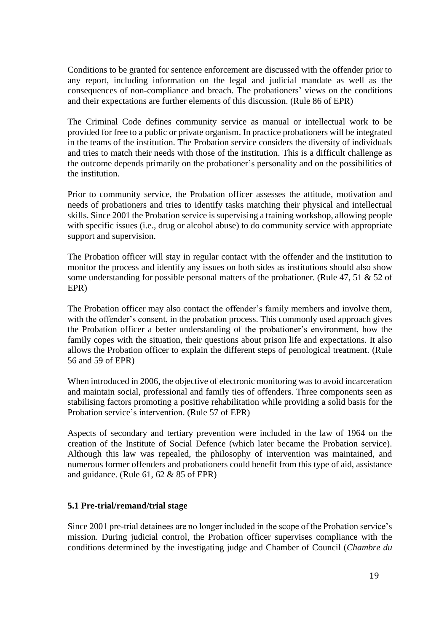Conditions to be granted for sentence enforcement are discussed with the offender prior to any report, including information on the legal and judicial mandate as well as the consequences of non-compliance and breach. The probationers' views on the conditions and their expectations are further elements of this discussion. (Rule 86 of EPR)

The Criminal Code defines community service as manual or intellectual work to be provided for free to a public or private organism. In practice probationers will be integrated in the teams of the institution. The Probation service considers the diversity of individuals and tries to match their needs with those of the institution. This is a difficult challenge as the outcome depends primarily on the probationer's personality and on the possibilities of the institution.

Prior to community service, the Probation officer assesses the attitude, motivation and needs of probationers and tries to identify tasks matching their physical and intellectual skills. Since 2001 the Probation service is supervising a training workshop, allowing people with specific issues (i.e., drug or alcohol abuse) to do community service with appropriate support and supervision.

The Probation officer will stay in regular contact with the offender and the institution to monitor the process and identify any issues on both sides as institutions should also show some understanding for possible personal matters of the probationer. (Rule 47, 51 & 52 of EPR)

The Probation officer may also contact the offender's family members and involve them, with the offender's consent, in the probation process. This commonly used approach gives the Probation officer a better understanding of the probationer's environment, how the family copes with the situation, their questions about prison life and expectations. It also allows the Probation officer to explain the different steps of penological treatment. (Rule 56 and 59 of EPR)

When introduced in 2006, the objective of electronic monitoring was to avoid incarceration and maintain social, professional and family ties of offenders. Three components seen as stabilising factors promoting a positive rehabilitation while providing a solid basis for the Probation service's intervention. (Rule 57 of EPR)

Aspects of secondary and tertiary prevention were included in the law of 1964 on the creation of the Institute of Social Defence (which later became the Probation service). Although this law was repealed, the philosophy of intervention was maintained, and numerous former offenders and probationers could benefit from this type of aid, assistance and guidance. (Rule 61, 62 & 85 of EPR)

## **5.1 Pre-trial/remand/trial stage**

Since 2001 pre-trial detainees are no longer included in the scope of the Probation service's mission. During judicial control, the Probation officer supervises compliance with the conditions determined by the investigating judge and Chamber of Council (*Chambre du*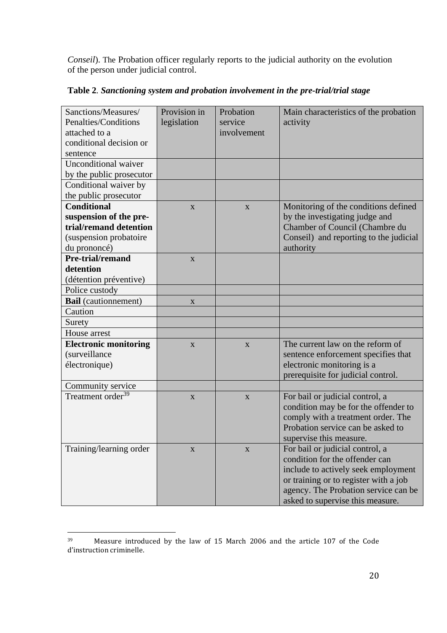*Conseil*). The Probation officer regularly reports to the judicial authority on the evolution of the person under judicial control.

| Sanctions/Measures/<br>Penalties/Conditions | Provision in<br>legislation | Probation<br>service | Main characteristics of the probation<br>activity |
|---------------------------------------------|-----------------------------|----------------------|---------------------------------------------------|
| attached to a                               |                             | involvement          |                                                   |
| conditional decision or                     |                             |                      |                                                   |
| sentence                                    |                             |                      |                                                   |
| <b>Unconditional waiver</b>                 |                             |                      |                                                   |
| by the public prosecutor                    |                             |                      |                                                   |
| Conditional waiver by                       |                             |                      |                                                   |
| the public prosecutor                       |                             |                      |                                                   |
| <b>Conditional</b>                          | X                           | X                    | Monitoring of the conditions defined              |
| suspension of the pre-                      |                             |                      | by the investigating judge and                    |
| trial/remand detention                      |                             |                      | Chamber of Council (Chambre du                    |
| (suspension probatoire                      |                             |                      | Conseil) and reporting to the judicial            |
| du prononcé)                                |                             |                      | authority                                         |
| Pre-trial/remand                            | $\mathbf{X}$                |                      |                                                   |
| detention                                   |                             |                      |                                                   |
| (détention préventive)                      |                             |                      |                                                   |
| Police custody                              |                             |                      |                                                   |
| <b>Bail</b> (cautionnement)                 | $\mathbf{X}$                |                      |                                                   |
| Caution                                     |                             |                      |                                                   |
| Surety                                      |                             |                      |                                                   |
| House arrest                                |                             |                      |                                                   |
| <b>Electronic monitoring</b>                | X                           | X                    | The current law on the reform of                  |
| (surveillance                               |                             |                      | sentence enforcement specifies that               |
| électronique)                               |                             |                      | electronic monitoring is a                        |
|                                             |                             |                      | prerequisite for judicial control.                |
| Community service                           |                             |                      |                                                   |
| Treatment order <sup>39</sup>               | $\mathbf{X}$                | $\mathbf{X}$         | For bail or judicial control, a                   |
|                                             |                             |                      | condition may be for the offender to              |
|                                             |                             |                      | comply with a treatment order. The                |
|                                             |                             |                      | Probation service can be asked to                 |
|                                             |                             |                      | supervise this measure.                           |
| Training/learning order                     | X                           | X                    | For bail or judicial control, a                   |
|                                             |                             |                      | condition for the offender can                    |
|                                             |                             |                      | include to actively seek employment               |
|                                             |                             |                      | or training or to register with a job             |
|                                             |                             |                      | agency. The Probation service can be              |
|                                             |                             |                      | asked to supervise this measure.                  |

**Table 2***. Sanctioning system and probation involvement in the pre-trial/trial stage*

<sup>39</sup> Measure introduced by the law of 15 March 2006 and the article 107 of the Code d'instruction criminelle.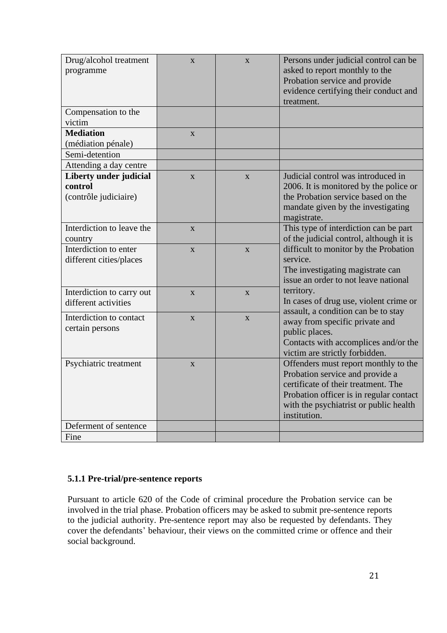| Drug/alcohol treatment<br>programme | $\mathbf{X}$            | X                       | Persons under judicial control can be<br>asked to report monthly to the       |
|-------------------------------------|-------------------------|-------------------------|-------------------------------------------------------------------------------|
|                                     |                         |                         | Probation service and provide                                                 |
|                                     |                         |                         | evidence certifying their conduct and                                         |
|                                     |                         |                         | treatment.                                                                    |
| Compensation to the                 |                         |                         |                                                                               |
| victim                              |                         |                         |                                                                               |
| <b>Mediation</b>                    | $\mathbf{X}$            |                         |                                                                               |
| (médiation pénale)                  |                         |                         |                                                                               |
| Semi-detention                      |                         |                         |                                                                               |
| Attending a day centre              |                         |                         |                                                                               |
| Liberty under judicial              | $\mathbf{X}$            | X                       | Judicial control was introduced in                                            |
| control                             |                         |                         | 2006. It is monitored by the police or                                        |
| (contrôle judiciaire)               |                         |                         | the Probation service based on the                                            |
|                                     |                         |                         | mandate given by the investigating                                            |
|                                     |                         |                         | magistrate.                                                                   |
| Interdiction to leave the           | $\overline{\mathbf{X}}$ |                         | This type of interdiction can be part                                         |
| country                             |                         |                         | of the judicial control, although it is                                       |
| Interdiction to enter               | $\overline{\mathbf{X}}$ | $\overline{\mathbf{X}}$ | difficult to monitor by the Probation                                         |
| different cities/places             |                         |                         | service.                                                                      |
|                                     |                         |                         | The investigating magistrate can<br>issue an order to not leave national      |
|                                     |                         |                         |                                                                               |
| Interdiction to carry out           | X                       | $\mathbf X$             | territory.                                                                    |
| different activities                |                         |                         | In cases of drug use, violent crime or<br>assault, a condition can be to stay |
| Interdiction to contact             | $\mathbf{X}$            | $\mathbf{X}$            | away from specific private and                                                |
| certain persons                     |                         |                         | public places.                                                                |
|                                     |                         |                         | Contacts with accomplices and/or the                                          |
|                                     |                         |                         | victim are strictly forbidden.                                                |
| Psychiatric treatment               | $\overline{\mathbf{X}}$ |                         | Offenders must report monthly to the                                          |
|                                     |                         |                         | Probation service and provide a                                               |
|                                     |                         |                         | certificate of their treatment. The                                           |
|                                     |                         |                         | Probation officer is in regular contact                                       |
|                                     |                         |                         | with the psychiatrist or public health                                        |
|                                     |                         |                         | institution.                                                                  |
| Deferment of sentence               |                         |                         |                                                                               |
| Fine                                |                         |                         |                                                                               |

## **5.1.1 Pre-trial/pre-sentence reports**

Pursuant to article 620 of the Code of criminal procedure the Probation service can be involved in the trial phase. Probation officers may be asked to submit pre-sentence reports to the judicial authority. Pre-sentence report may also be requested by defendants. They cover the defendants' behaviour, their views on the committed crime or offence and their social background.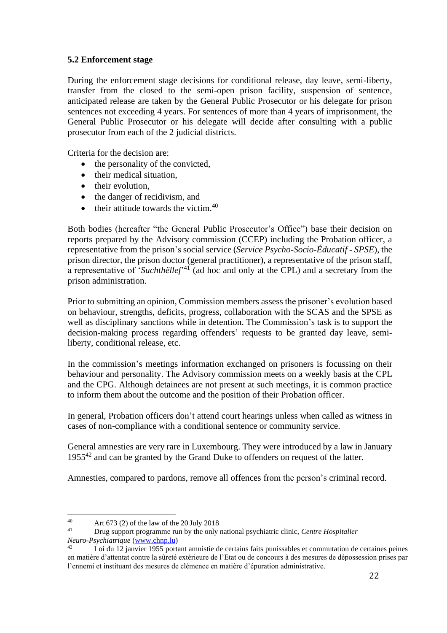## **5.2 Enforcement stage**

During the enforcement stage decisions for conditional release, day leave, semi-liberty, transfer from the closed to the semi-open prison facility, suspension of sentence, anticipated release are taken by the General Public Prosecutor or his delegate for prison sentences not exceeding 4 years. For sentences of more than 4 years of imprisonment, the General Public Prosecutor or his delegate will decide after consulting with a public prosecutor from each of the 2 judicial districts.

Criteria for the decision are:

- the personality of the convicted,
- their medical situation,
- their evolution.
- the danger of recidivism, and
- $\bullet$  their attitude towards the victim.<sup>40</sup>

Both bodies (hereafter "the General Public Prosecutor's Office") base their decision on reports prepared by the Advisory commission (CCEP) including the Probation officer, a representative from the prison's social service (*Service Psycho-Socio-Éducatif - SPSE*), the prison director, the prison doctor (general practitioner), a representative of the prison staff, a representative of '*Suchthëllef*' <sup>41</sup> (ad hoc and only at the CPL) and a secretary from the prison administration.

Prior to submitting an opinion, Commission members assess the prisoner's evolution based on behaviour, strengths, deficits, progress, collaboration with the SCAS and the SPSE as well as disciplinary sanctions while in detention. The Commission's task is to support the decision-making process regarding offenders' requests to be granted day leave, semiliberty, conditional release, etc.

In the commission's meetings information exchanged on prisoners is focussing on their behaviour and personality. The Advisory commission meets on a weekly basis at the CPL and the CPG. Although detainees are not present at such meetings, it is common practice to inform them about the outcome and the position of their Probation officer.

In general, Probation officers don't attend court hearings unless when called as witness in cases of non-compliance with a conditional sentence or community service.

General amnesties are very rare in Luxembourg. They were introduced by a law in January 1955<sup>42</sup> and can be granted by the Grand Duke to offenders on request of the latter.

Amnesties, compared to pardons, remove all offences from the person's criminal record.

 $40$  Art 673 (2) of the law of the 20 July 2018

<sup>41</sup> Drug support programme run by the only national psychiatric clinic, *Centre Hospitalier Neuro-Psychiatrique* [\(www.chnp.lu\)](http://www.chnp.lu/)

<sup>42</sup> Loi du 12 janvier 1955 portant amnistie de certains faits punissables et commutation de certaines peines en matière d'attentat contre la sûreté extérieure de l'Etat ou de concours à des mesures de dépossession prises par l'ennemi et instituant des mesures de clémence en matière d'épuration administrative.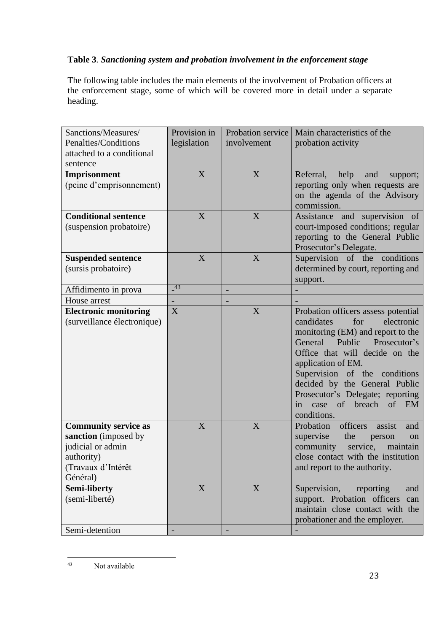## **Table 3***. Sanctioning system and probation involvement in the enforcement stage*

The following table includes the main elements of the involvement of Probation officers at the enforcement stage, some of which will be covered more in detail under a separate heading.

| Sanctions/Measures/          | Provision in | Probation service        | Main characteristics of the                 |
|------------------------------|--------------|--------------------------|---------------------------------------------|
| Penalties/Conditions         | legislation  | involvement              | probation activity                          |
| attached to a conditional    |              |                          |                                             |
|                              |              |                          |                                             |
| sentence                     |              |                          |                                             |
| Imprisonment                 | X            | X                        | Referral,<br>help<br>and<br>support;        |
| (peine d'emprisonnement)     |              |                          | reporting only when requests are            |
|                              |              |                          | on the agenda of the Advisory               |
|                              |              |                          | commission.                                 |
| <b>Conditional sentence</b>  | X            | X                        | Assistance and supervision of               |
| (suspension probatoire)      |              |                          | court-imposed conditions; regular           |
|                              |              |                          | reporting to the General Public             |
|                              |              |                          | Prosecutor's Delegate.                      |
| <b>Suspended sentence</b>    | X            | X                        | Supervision of the conditions               |
| (sursis probatoire)          |              |                          | determined by court, reporting and          |
|                              |              |                          | support.                                    |
| Affidimento in prova         | 43           | $\overline{\phantom{a}}$ |                                             |
| House arrest                 |              |                          |                                             |
| <b>Electronic monitoring</b> | X            | X                        | Probation officers assess potential         |
| (surveillance électronique)  |              |                          | candidates<br>for<br>electronic             |
|                              |              |                          | monitoring (EM) and report to the           |
|                              |              |                          | General<br>Public<br>Prosecutor's           |
|                              |              |                          | Office that will decide on the              |
|                              |              |                          | application of EM.                          |
|                              |              |                          | Supervision of the conditions               |
|                              |              |                          |                                             |
|                              |              |                          | decided by the General Public               |
|                              |              |                          | Prosecutor's Delegate; reporting            |
|                              |              |                          | $\sigma f$<br>breach<br>of EM<br>in<br>case |
|                              |              |                          | conditions.                                 |
| <b>Community service as</b>  | X            | X                        | officers<br>Probation<br>assist<br>and      |
| sanction (imposed by         |              |                          | supervise<br>the<br>person<br><sub>on</sub> |
| judicial or admin            |              |                          | community<br>service,<br>maintain           |
| authority)                   |              |                          | close contact with the institution          |
| (Travaux d'Intérêt           |              |                          | and report to the authority.                |
| Général)                     |              |                          |                                             |
| <b>Semi-liberty</b>          | X            | X                        | Supervision,<br>reporting<br>and            |
| (semi-liberté)               |              |                          | support. Probation officers can             |
|                              |              |                          | maintain close contact with the             |
|                              |              |                          | probationer and the employer.               |
| Semi-detention               |              |                          |                                             |

<sup>43</sup> Not available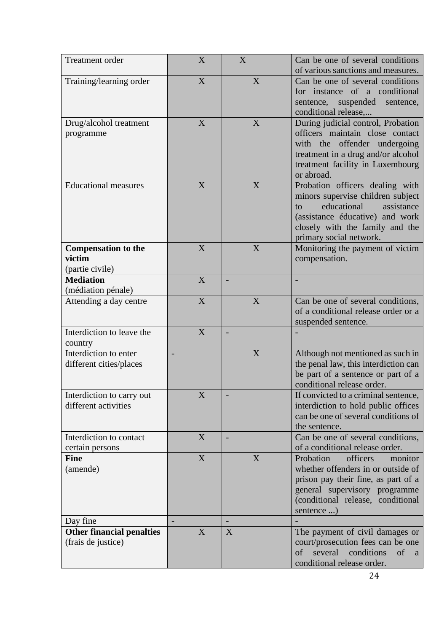| <b>Treatment</b> order                                  | X                | X | Can be one of several conditions<br>of various sanctions and measures.                                                                                                                                    |
|---------------------------------------------------------|------------------|---|-----------------------------------------------------------------------------------------------------------------------------------------------------------------------------------------------------------|
| Training/learning order                                 | X                | X | Can be one of several conditions<br>for instance of a conditional<br>suspended<br>sentence,<br>sentence,<br>conditional release,                                                                          |
| Drug/alcohol treatment<br>programme                     | X                | X | During judicial control, Probation<br>officers maintain close contact<br>with the offender undergoing<br>treatment in a drug and/or alcohol<br>treatment facility in Luxembourg<br>or abroad.             |
| <b>Educational measures</b>                             | X                | X | Probation officers dealing with<br>minors supervise children subject<br>educational<br>assistance<br>to.<br>(assistance éducative) and work<br>closely with the family and the<br>primary social network. |
| <b>Compensation to the</b><br>victim<br>(partie civile) | X                | X | Monitoring the payment of victim<br>compensation.                                                                                                                                                         |
| <b>Mediation</b><br>(médiation pénale)                  | X                |   |                                                                                                                                                                                                           |
| Attending a day centre                                  | X                | X | Can be one of several conditions,<br>of a conditional release order or a<br>suspended sentence.                                                                                                           |
| Interdiction to leave the<br>country                    | X                |   |                                                                                                                                                                                                           |
| Interdiction to enter<br>different cities/places        |                  | X | Although not mentioned as such in<br>the penal law, this interdiction can<br>be part of a sentence or part of a<br>conditional release order.                                                             |
| Interdiction to carry out<br>different activities       | X                |   | If convicted to a criminal sentence,<br>interdiction to hold public offices<br>can be one of several conditions of<br>the sentence.                                                                       |
| Interdiction to contact<br>certain persons              | X                |   | Can be one of several conditions,<br>of a conditional release order.                                                                                                                                      |
| <b>Fine</b><br>(amende)                                 | $\boldsymbol{X}$ | X | Probation<br>officers<br>monitor<br>whether offenders in or outside of<br>prison pay their fine, as part of a<br>general supervisory programme<br>(conditional release, conditional<br>sentence )         |
| Day fine<br><b>Other financial penalties</b>            | X                | X | The payment of civil damages or                                                                                                                                                                           |
| (frais de justice)                                      |                  |   | court/prosecution fees can be one<br>several<br>conditions<br>of<br>of<br>a<br>conditional release order.                                                                                                 |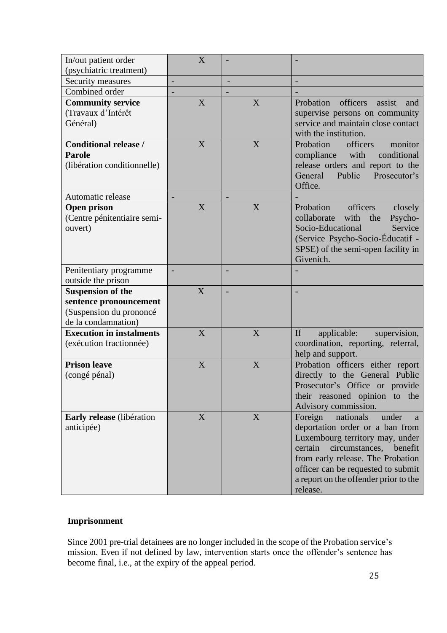| In/out patient order                | X |   |                                                                             |
|-------------------------------------|---|---|-----------------------------------------------------------------------------|
| (psychiatric treatment)             |   |   |                                                                             |
| Security measures<br>Combined order |   | - |                                                                             |
|                                     |   |   |                                                                             |
| <b>Community service</b>            | X | X | Probation<br>officers<br>assist<br>and                                      |
| (Travaux d'Intérêt                  |   |   | supervise persons on community                                              |
| Général)                            |   |   | service and maintain close contact<br>with the institution.                 |
| <b>Conditional release /</b>        | X | X | Probation<br>officers<br>monitor                                            |
| <b>Parole</b>                       |   |   | compliance<br>with<br>conditional                                           |
| (libération conditionnelle)         |   |   | release orders and report to the                                            |
|                                     |   |   | Public<br>General<br>Prosecutor's                                           |
|                                     |   |   | Office.                                                                     |
| Automatic release                   |   |   |                                                                             |
| <b>Open prison</b>                  | X | X | officers<br>Probation<br>closely                                            |
| (Centre pénitentiaire semi-         |   |   | collaborate<br>with<br>the<br>Psycho-                                       |
| ouvert)                             |   |   | Socio-Educational<br>Service                                                |
|                                     |   |   | (Service Psycho-Socio-Éducatif -                                            |
|                                     |   |   | SPSE) of the semi-open facility in                                          |
|                                     |   |   | Givenich.                                                                   |
| Penitentiary programme              |   | - |                                                                             |
| outside the prison                  |   |   |                                                                             |
| <b>Suspension of the</b>            | X |   |                                                                             |
| sentence pronouncement              |   |   |                                                                             |
| (Suspension du prononcé             |   |   |                                                                             |
| de la condamnation)                 |   |   |                                                                             |
| <b>Execution in instalments</b>     | X | X | If<br>applicable:<br>supervision,                                           |
| (exécution fractionnée)             |   |   | coordination, reporting, referral,                                          |
|                                     |   |   | help and support.                                                           |
| <b>Prison leave</b>                 | X | X | Probation officers either report                                            |
| (congé pénal)                       |   |   | directly to the General Public                                              |
|                                     |   |   | Prosecutor's Office or provide                                              |
|                                     |   |   | their reasoned opinion to the                                               |
|                                     |   |   | Advisory commission.                                                        |
| Early release (libération           | X | X | Foreign<br>nationals<br>under<br>a                                          |
| anticipée)                          |   |   | deportation order or a ban from                                             |
|                                     |   |   | Luxembourg territory may, under                                             |
|                                     |   |   | circumstances,<br>certain<br>benefit                                        |
|                                     |   |   | from early release. The Probation                                           |
|                                     |   |   |                                                                             |
|                                     |   |   | officer can be requested to submit<br>a report on the offender prior to the |

## **Imprisonment**

Since 2001 pre-trial detainees are no longer included in the scope of the Probation service's mission. Even if not defined by law, intervention starts once the offender's sentence has become final, i.e., at the expiry of the appeal period.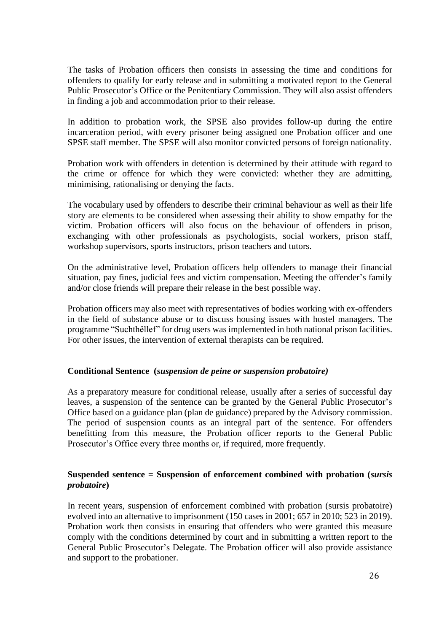The tasks of Probation officers then consists in assessing the time and conditions for offenders to qualify for early release and in submitting a motivated report to the General Public Prosecutor's Office or the Penitentiary Commission. They will also assist offenders in finding a job and accommodation prior to their release.

In addition to probation work, the SPSE also provides follow-up during the entire incarceration period, with every prisoner being assigned one Probation officer and one SPSE staff member. The SPSE will also monitor convicted persons of foreign nationality.

Probation work with offenders in detention is determined by their attitude with regard to the crime or offence for which they were convicted: whether they are admitting, minimising, rationalising or denying the facts.

The vocabulary used by offenders to describe their criminal behaviour as well as their life story are elements to be considered when assessing their ability to show empathy for the victim. Probation officers will also focus on the behaviour of offenders in prison, exchanging with other professionals as psychologists, social workers, prison staff, workshop supervisors, sports instructors, prison teachers and tutors.

On the administrative level, Probation officers help offenders to manage their financial situation, pay fines, judicial fees and victim compensation. Meeting the offender's family and/or close friends will prepare their release in the best possible way.

Probation officers may also meet with representatives of bodies working with ex-offenders in the field of substance abuse or to discuss housing issues with hostel managers. The programme "Suchthëllef" for drug users was implemented in both national prison facilities. For other issues, the intervention of external therapists can be required.

## **Conditional Sentence (***suspension de peine or suspension probatoire)*

As a preparatory measure for conditional release, usually after a series of successful day leaves, a suspension of the sentence can be granted by the General Public Prosecutor's Office based on a guidance plan (plan de guidance) prepared by the Advisory commission. The period of suspension counts as an integral part of the sentence. For offenders benefitting from this measure, the Probation officer reports to the General Public Prosecutor's Office every three months or, if required, more frequently.

## **Suspended sentence = Suspension of enforcement combined with probation (***sursis probatoire***)**

In recent years, suspension of enforcement combined with probation (sursis probatoire) evolved into an alternative to imprisonment (150 cases in 2001; 657 in 2010; 523 in 2019). Probation work then consists in ensuring that offenders who were granted this measure comply with the conditions determined by court and in submitting a written report to the General Public Prosecutor's Delegate. The Probation officer will also provide assistance and support to the probationer.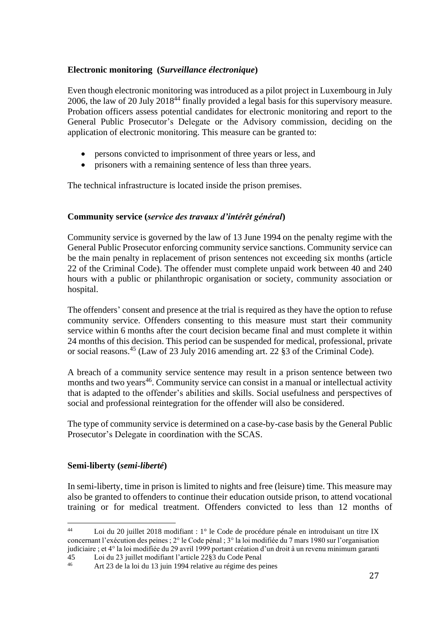## **Electronic monitoring (***Surveillance électronique***)**

Even though electronic monitoring was introduced as a pilot project in Luxembourg in July 2006, the law of 20 July 2018<sup>44</sup> finally provided a legal basis for this supervisory measure. Probation officers assess potential candidates for electronic monitoring and report to the General Public Prosecutor's Delegate or the Advisory commission, deciding on the application of electronic monitoring. This measure can be granted to:

- persons convicted to imprisonment of three years or less, and
- prisoners with a remaining sentence of less than three years.

The technical infrastructure is located inside the prison premises.

## **Community service (***service des travaux d'intérêt général***)**

Community service is governed by the law of 13 June 1994 on the penalty regime with the General Public Prosecutor enforcing community service sanctions. Community service can be the main penalty in replacement of prison sentences not exceeding six months (article 22 of the Criminal Code). The offender must complete unpaid work between 40 and 240 hours with a public or philanthropic organisation or society, community association or hospital.

The offenders' consent and presence at the trial is required as they have the option to refuse community service. Offenders consenting to this measure must start their community service within 6 months after the court decision became final and must complete it within 24 months of this decision. This period can be suspended for medical, professional, private or social reasons. <sup>45</sup> (Law of 23 July 2016 amending art. 22 §3 of the Criminal Code).

A breach of a community service sentence may result in a prison sentence between two months and two years<sup>46</sup>. Community service can consist in a manual or intellectual activity that is adapted to the offender's abilities and skills. Social usefulness and perspectives of social and professional reintegration for the offender will also be considered.

The type of community service is determined on a case-by-case basis by the General Public Prosecutor's Delegate in coordination with the SCAS.

## **Semi-liberty (***semi-liberté***)**

In semi-liberty, time in prison is limited to nights and free (leisure) time. This measure may also be granted to offenders to continue their education outside prison, to attend vocational training or for medical treatment. Offenders convicted to less than 12 months of

<sup>44</sup> Loi du 20 juillet 2018 modifiant : 1° le Code de procédure pénale en introduisant un titre IX concernant l'exécution des peines ; 2° le Code pénal ; 3° la loi modifiée du 7 mars 1980 sur l'organisation judiciaire ; et 4° la loi modifiée du 29 avril 1999 portant création d'un droit à un revenu minimum garanti

<sup>45</sup> Loi du 23 juillet modifiant l'article  $22\overline{\$3\}$  du Code Penal<br>46 Art 23 de le loi du 13 juin 1904 relative eu régime des pe

<sup>46</sup> Art 23 de la loi du 13 juin 1994 relative au régime des peines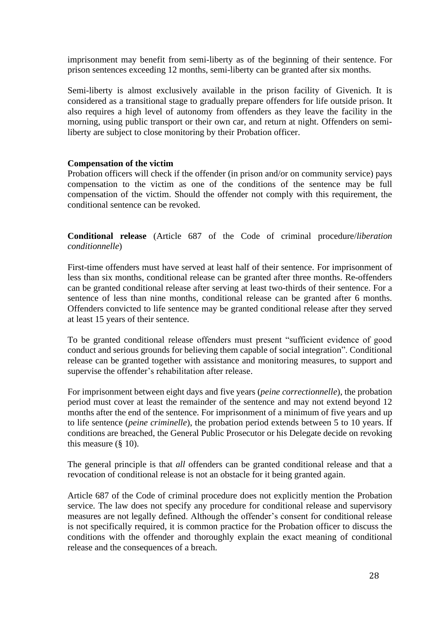imprisonment may benefit from semi-liberty as of the beginning of their sentence. For prison sentences exceeding 12 months, semi-liberty can be granted after six months.

Semi-liberty is almost exclusively available in the prison facility of Givenich. It is considered as a transitional stage to gradually prepare offenders for life outside prison. It also requires a high level of autonomy from offenders as they leave the facility in the morning, using public transport or their own car, and return at night. Offenders on semiliberty are subject to close monitoring by their Probation officer.

#### **Compensation of the victim**

Probation officers will check if the offender (in prison and/or on community service) pays compensation to the victim as one of the conditions of the sentence may be full compensation of the victim. Should the offender not comply with this requirement, the conditional sentence can be revoked.

**Conditional release** (Article 687 of the Code of criminal procedure/*liberation conditionnelle*)

First-time offenders must have served at least half of their sentence. For imprisonment of less than six months, conditional release can be granted after three months. Re-offenders can be granted conditional release after serving at least two-thirds of their sentence. For a sentence of less than nine months, conditional release can be granted after 6 months. Offenders convicted to life sentence may be granted conditional release after they served at least 15 years of their sentence.

To be granted conditional release offenders must present "sufficient evidence of good conduct and serious grounds for believing them capable of social integration". Conditional release can be granted together with assistance and monitoring measures, to support and supervise the offender's rehabilitation after release.

For imprisonment between eight days and five years (*peine correctionnelle*), the probation period must cover at least the remainder of the sentence and may not extend beyond 12 months after the end of the sentence. For imprisonment of a minimum of five years and up to life sentence (*peine criminelle*), the probation period extends between 5 to 10 years. If conditions are breached, the General Public Prosecutor or his Delegate decide on revoking this measure (§ 10).

The general principle is that *all* offenders can be granted conditional release and that a revocation of conditional release is not an obstacle for it being granted again.

Article 687 of the Code of criminal procedure does not explicitly mention the Probation service. The law does not specify any procedure for conditional release and supervisory measures are not legally defined. Although the offender's consent for conditional release is not specifically required, it is common practice for the Probation officer to discuss the conditions with the offender and thoroughly explain the exact meaning of conditional release and the consequences of a breach.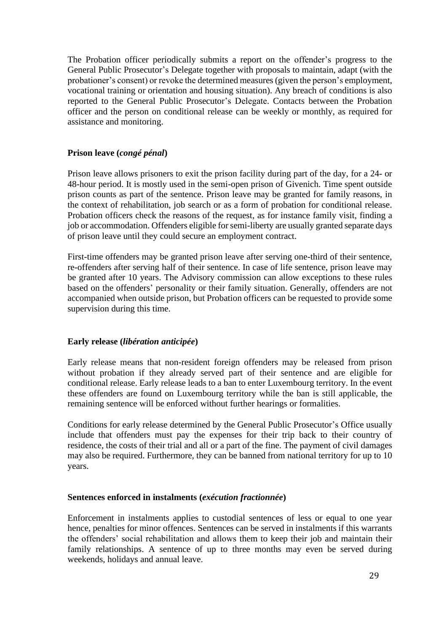The Probation officer periodically submits a report on the offender's progress to the General Public Prosecutor's Delegate together with proposals to maintain, adapt (with the probationer's consent) or revoke the determined measures (given the person's employment, vocational training or orientation and housing situation). Any breach of conditions is also reported to the General Public Prosecutor's Delegate. Contacts between the Probation officer and the person on conditional release can be weekly or monthly, as required for assistance and monitoring.

## **Prison leave (***congé pénal***)**

Prison leave allows prisoners to exit the prison facility during part of the day, for a 24- or 48-hour period. It is mostly used in the semi-open prison of Givenich. Time spent outside prison counts as part of the sentence. Prison leave may be granted for family reasons, in the context of rehabilitation, job search or as a form of probation for conditional release. Probation officers check the reasons of the request, as for instance family visit, finding a job or accommodation. Offenders eligible for semi-liberty are usually granted separate days of prison leave until they could secure an employment contract.

First-time offenders may be granted prison leave after serving one-third of their sentence, re-offenders after serving half of their sentence. In case of life sentence, prison leave may be granted after 10 years. The Advisory commission can allow exceptions to these rules based on the offenders' personality or their family situation. Generally, offenders are not accompanied when outside prison, but Probation officers can be requested to provide some supervision during this time.

## **Early release (***libération anticipée***)**

Early release means that non-resident foreign offenders may be released from prison without probation if they already served part of their sentence and are eligible for conditional release. Early release leads to a ban to enter Luxembourg territory. In the event these offenders are found on Luxembourg territory while the ban is still applicable, the remaining sentence will be enforced without further hearings or formalities.

Conditions for early release determined by the General Public Prosecutor's Office usually include that offenders must pay the expenses for their trip back to their country of residence, the costs of their trial and all or a part of the fine. The payment of civil damages may also be required. Furthermore, they can be banned from national territory for up to 10 years.

## **Sentences enforced in instalments (***exécution fractionnée***)**

Enforcement in instalments applies to custodial sentences of less or equal to one year hence, penalties for minor offences. Sentences can be served in instalments if this warrants the offenders' social rehabilitation and allows them to keep their job and maintain their family relationships. A sentence of up to three months may even be served during weekends, holidays and annual leave.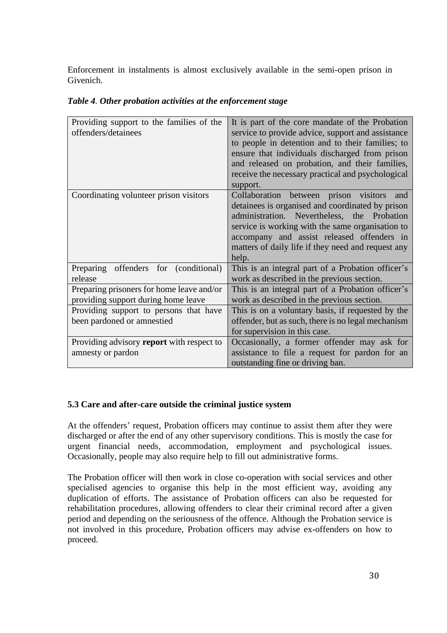Enforcement in instalments is almost exclusively available in the semi-open prison in Givenich.

| It is part of the core mandate of the Probation    |  |  |
|----------------------------------------------------|--|--|
| service to provide advice, support and assistance  |  |  |
| to people in detention and to their families; to   |  |  |
| ensure that individuals discharged from prison     |  |  |
| and released on probation, and their families,     |  |  |
| receive the necessary practical and psychological  |  |  |
| support.                                           |  |  |
| Collaboration between prison visitors<br>and       |  |  |
| detainees is organised and coordinated by prison   |  |  |
| administration. Nevertheless, the Probation        |  |  |
| service is working with the same organisation to   |  |  |
| accompany and assist released offenders in         |  |  |
| matters of daily life if they need and request any |  |  |
| help.                                              |  |  |
| This is an integral part of a Probation officer's  |  |  |
| work as described in the previous section.         |  |  |
| This is an integral part of a Probation officer's  |  |  |
| work as described in the previous section.         |  |  |
| This is on a voluntary basis, if requested by the  |  |  |
| offender, but as such, there is no legal mechanism |  |  |
| for supervision in this case.                      |  |  |
| Occasionally, a former offender may ask for        |  |  |
| assistance to file a request for pardon for an     |  |  |
| outstanding fine or driving ban.                   |  |  |
|                                                    |  |  |

*Table 4. Other probation activities at the enforcement stage*

## **5.3 Care and after-care outside the criminal justice system**

At the offenders' request, Probation officers may continue to assist them after they were discharged or after the end of any other supervisory conditions. This is mostly the case for urgent financial needs, accommodation, employment and psychological issues. Occasionally, people may also require help to fill out administrative forms.

The Probation officer will then work in close co-operation with social services and other specialised agencies to organise this help in the most efficient way, avoiding any duplication of efforts. The assistance of Probation officers can also be requested for rehabilitation procedures, allowing offenders to clear their criminal record after a given period and depending on the seriousness of the offence. Although the Probation service is not involved in this procedure, Probation officers may advise ex-offenders on how to proceed.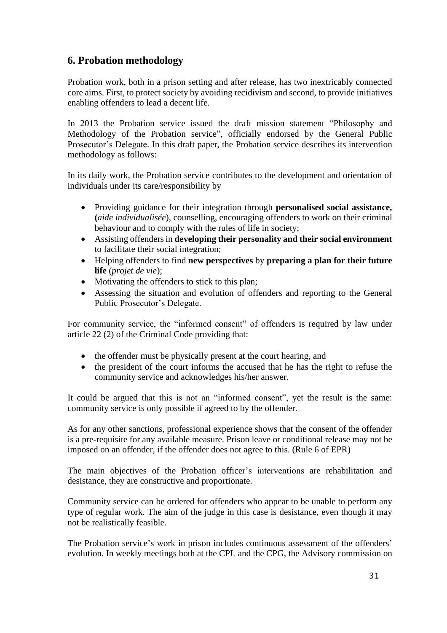# **6. Probation methodology**

Probation work, both in a prison setting and after release, has two inextricably connected core aims. First, to protect society by avoiding recidivism and second, to provide initiatives enabling offenders to lead a decent life.

In 2013 the Probation service issued the draft mission statement "Philosophy and Methodology of the Probation service", officially endorsed by the General Public Prosecutor's Delegate. In this draft paper, the Probation service describes its intervention methodology as follows:

In its daily work, the Probation service contributes to the development and orientation of individuals under its care/responsibility by

- Providing guidance for their integration through **personalised social assistance, (***aide individualisée*), counselling, encouraging offenders to work on their criminal behaviour and to comply with the rules of life in society;
- Assisting offenders in **developing their personality and their social environment** to facilitate their social integration;
- Helping offenders to find **new perspectives** by **preparing a plan for their future life** (*projet de vie*);
- Motivating the offenders to stick to this plan;
- Assessing the situation and evolution of offenders and reporting to the General Public Prosecutor's Delegate.

For community service, the "informed consent" of offenders is required by law under article 22 (2) of the Criminal Code providing that:

- the offender must be physically present at the court hearing, and
- the president of the court informs the accused that he has the right to refuse the community service and acknowledges his/her answer.

It could be argued that this is not an "informed consent", yet the result is the same: community service is only possible if agreed to by the offender.

As for any other sanctions, professional experience shows that the consent of the offender is a pre-requisite for any available measure. Prison leave or conditional release may not be imposed on an offender, if the offender does not agree to this. (Rule 6 of EPR)

The main objectives of the Probation officer's interventions are rehabilitation and desistance, they are constructive and proportionate.

Community service can be ordered for offenders who appear to be unable to perform any type of regular work. The aim of the judge in this case is desistance, even though it may not be realistically feasible.

The Probation service's work in prison includes continuous assessment of the offenders' evolution. In weekly meetings both at the CPL and the CPG, the Advisory commission on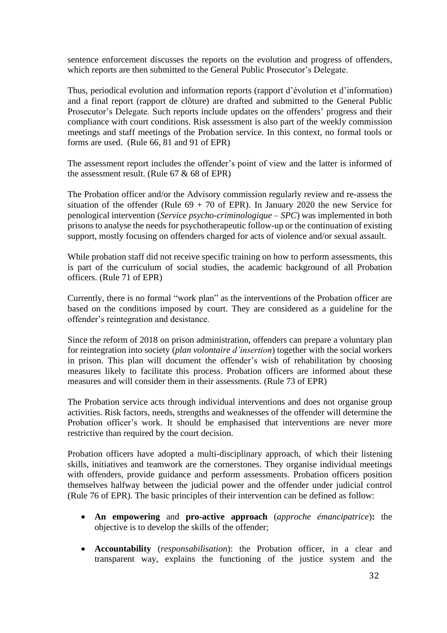sentence enforcement discusses the reports on the evolution and progress of offenders, which reports are then submitted to the General Public Prosecutor's Delegate.

Thus, periodical evolution and information reports (rapport d'évolution et d'information) and a final report (rapport de clôture) are drafted and submitted to the General Public Prosecutor's Delegate. Such reports include updates on the offenders' progress and their compliance with court conditions. Risk assessment is also part of the weekly commission meetings and staff meetings of the Probation service. In this context, no formal tools or forms are used. (Rule 66, 81 and 91 of EPR)

The assessment report includes the offender's point of view and the latter is informed of the assessment result. (Rule 67 & 68 of EPR)

The Probation officer and/or the Advisory commission regularly review and re-assess the situation of the offender (Rule  $69 + 70$  of EPR). In January 2020 the new Service for penological intervention (*Service psycho-criminologique – SPC*) was implemented in both prisons to analyse the needs for psychotherapeutic follow-up or the continuation of existing support, mostly focusing on offenders charged for acts of violence and/or sexual assault.

While probation staff did not receive specific training on how to perform assessments, this is part of the curriculum of social studies, the academic background of all Probation officers. (Rule 71 of EPR)

Currently, there is no formal "work plan" as the interventions of the Probation officer are based on the conditions imposed by court. They are considered as a guideline for the offender's reintegration and desistance.

Since the reform of 2018 on prison administration, offenders can prepare a voluntary plan for reintegration into society (*plan volontaire d'insertion*) together with the social workers in prison. This plan will document the offender's wish of rehabilitation by choosing measures likely to facilitate this process. Probation officers are informed about these measures and will consider them in their assessments. (Rule 73 of EPR)

The Probation service acts through individual interventions and does not organise group activities. Risk factors, needs, strengths and weaknesses of the offender will determine the Probation officer's work. It should be emphasised that interventions are never more restrictive than required by the court decision.

Probation officers have adopted a multi-disciplinary approach, of which their listening skills, initiatives and teamwork are the cornerstones. They organise individual meetings with offenders, provide guidance and perform assessments. Probation officers position themselves halfway between the judicial power and the offender under judicial control (Rule 76 of EPR). The basic principles of their intervention can be defined as follow:

- **An empowering** and **pro-active approach** (*approche émancipatrice*)**:** the objective is to develop the skills of the offender;
- **Accountability** (*responsabilisation*): the Probation officer, in a clear and transparent way, explains the functioning of the justice system and the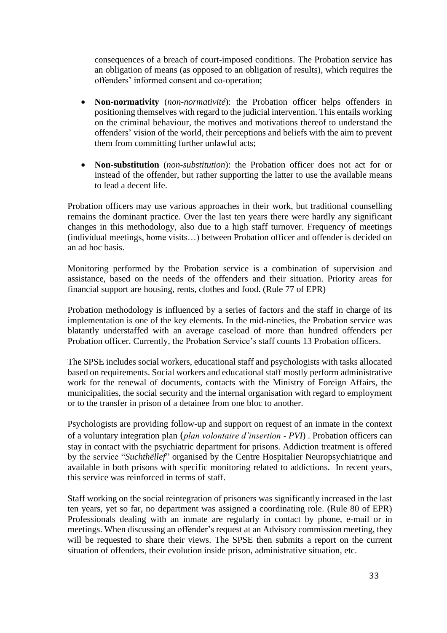consequences of a breach of court-imposed conditions. The Probation service has an obligation of means (as opposed to an obligation of results), which requires the offenders' informed consent and co-operation;

- **Non-normativity** (*non-normativité*): the Probation officer helps offenders in positioning themselves with regard to the judicial intervention. This entails working on the criminal behaviour, the motives and motivations thereof to understand the offenders' vision of the world, their perceptions and beliefs with the aim to prevent them from committing further unlawful acts;
- **Non-substitution** (*non-substitution*): the Probation officer does not act for or instead of the offender, but rather supporting the latter to use the available means to lead a decent life.

Probation officers may use various approaches in their work, but traditional counselling remains the dominant practice. Over the last ten years there were hardly any significant changes in this methodology, also due to a high staff turnover. Frequency of meetings (individual meetings, home visits…) between Probation officer and offender is decided on an ad hoc basis.

Monitoring performed by the Probation service is a combination of supervision and assistance, based on the needs of the offenders and their situation. Priority areas for financial support are housing, rents, clothes and food. (Rule 77 of EPR)

Probation methodology is influenced by a series of factors and the staff in charge of its implementation is one of the key elements. In the mid-nineties, the Probation service was blatantly understaffed with an average caseload of more than hundred offenders per Probation officer. Currently, the Probation Service's staff counts 13 Probation officers.

The SPSE includes social workers, educational staff and psychologists with tasks allocated based on requirements. Social workers and educational staff mostly perform administrative work for the renewal of documents, contacts with the Ministry of Foreign Affairs, the municipalities, the social security and the internal organisation with regard to employment or to the transfer in prison of a detainee from one bloc to another.

Psychologists are providing follow-up and support on request of an inmate in the context of a voluntary integration plan (*plan volontaire d'insertion - PVI*) . Probation officers can stay in contact with the psychiatric department for prisons. Addiction treatment is offered by the service "*Suchthëllef*" organised by the Centre Hospitalier Neuropsychiatrique and available in both prisons with specific monitoring related to addictions. In recent years, this service was reinforced in terms of staff.

Staff working on the social reintegration of prisoners was significantly increased in the last ten years, yet so far, no department was assigned a coordinating role. (Rule 80 of EPR) Professionals dealing with an inmate are regularly in contact by phone, e-mail or in meetings. When discussing an offender's request at an Advisory commission meeting, they will be requested to share their views. The SPSE then submits a report on the current situation of offenders, their evolution inside prison, administrative situation, etc.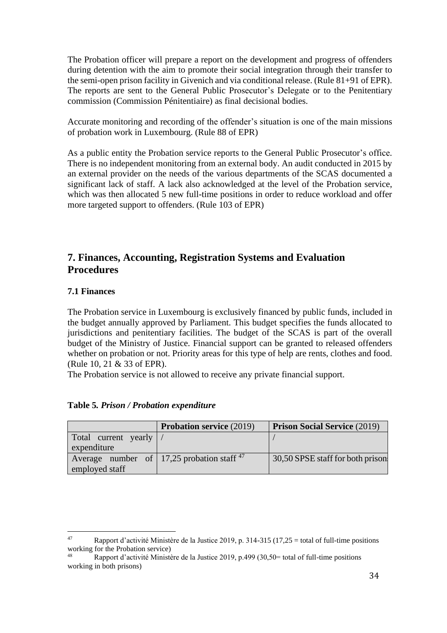The Probation officer will prepare a report on the development and progress of offenders during detention with the aim to promote their social integration through their transfer to the semi-open prison facility in Givenich and via conditional release. (Rule 81+91 of EPR). The reports are sent to the General Public Prosecutor's Delegate or to the Penitentiary commission (Commission Pénitentiaire) as final decisional bodies.

Accurate monitoring and recording of the offender's situation is one of the main missions of probation work in Luxembourg. (Rule 88 of EPR)

As a public entity the Probation service reports to the General Public Prosecutor's office. There is no independent monitoring from an external body. An audit conducted in 2015 by an external provider on the needs of the various departments of the SCAS documented a significant lack of staff. A lack also acknowledged at the level of the Probation service, which was then allocated 5 new full-time positions in order to reduce workload and offer more targeted support to offenders. (Rule 103 of EPR)

# **7. Finances, Accounting, Registration Systems and Evaluation Procedures**

## **7.1 Finances**

The Probation service in Luxembourg is exclusively financed by public funds, included in the budget annually approved by Parliament. This budget specifies the funds allocated to jurisdictions and penitentiary facilities. The budget of the SCAS is part of the overall budget of the Ministry of Justice. Financial support can be granted to released offenders whether on probation or not. Priority areas for this type of help are rents, clothes and food. (Rule 10, 21 & 33 of EPR).

The Probation service is not allowed to receive any private financial support.

|                         | <b>Probation service (2019)</b>                         | <b>Prison Social Service (2019)</b> |
|-------------------------|---------------------------------------------------------|-------------------------------------|
| Total current yearly  / |                                                         |                                     |
| expenditure             |                                                         |                                     |
|                         | Average number of $\vert$ 17,25 probation staff $^{47}$ | 30,50 SPSE staff for both prison    |
| employed staff          |                                                         |                                     |

## **Table 5***. Prison / Probation expenditure*

<sup>&</sup>lt;sup>47</sup> Rapport d'activité Ministère de la Justice 2019, p. 314-315 (17,25 = total of full-time positions working for the Probation service)

<sup>48</sup> Rapport d'activité Ministère de la Justice 2019, p.499 (30,50= total of full-time positions working in both prisons)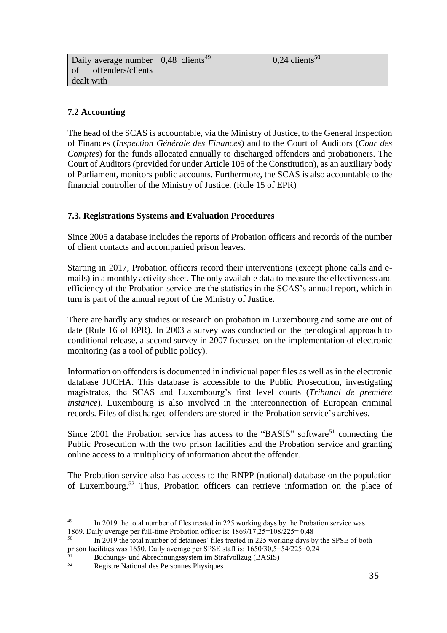| Daily average number $\vert 0,48 \vert$ clients <sup>49</sup> | $0.24$ clients <sup>50</sup> |
|---------------------------------------------------------------|------------------------------|
| of offenders/clients                                          |                              |
| dealt with                                                    |                              |

## **7.2 Accounting**

The head of the SCAS is accountable, via the Ministry of Justice, to the General Inspection of Finances (*Inspection Générale des Finances*) and to the Court of Auditors (*Cour des Comptes*) for the funds allocated annually to discharged offenders and probationers. The Court of Auditors (provided for under Article 105 of the Constitution), as an auxiliary body of Parliament, monitors public accounts. Furthermore, the SCAS is also accountable to the financial controller of the Ministry of Justice. (Rule 15 of EPR)

## **7.3. Registrations Systems and Evaluation Procedures**

Since 2005 a database includes the reports of Probation officers and records of the number of client contacts and accompanied prison leaves.

Starting in 2017, Probation officers record their interventions (except phone calls and emails) in a monthly activity sheet. The only available data to measure the effectiveness and efficiency of the Probation service are the statistics in the SCAS's annual report, which in turn is part of the annual report of the Ministry of Justice.

There are hardly any studies or research on probation in Luxembourg and some are out of date (Rule 16 of EPR). In 2003 a survey was conducted on the penological approach to conditional release, a second survey in 2007 focussed on the implementation of electronic monitoring (as a tool of public policy).

Information on offenders is documented in individual paper files as well as in the electronic database JUCHA. This database is accessible to the Public Prosecution, investigating magistrates, the SCAS and Luxembourg's first level courts (*Tribunal de première instance*). Luxembourg is also involved in the interconnection of European criminal records. Files of discharged offenders are stored in the Probation service's archives.

Since 2001 the Probation service has access to the "BASIS" software<sup>51</sup> connecting the Public Prosecution with the two prison facilities and the Probation service and granting online access to a multiplicity of information about the offender.

The Probation service also has access to the RNPP (national) database on the population of Luxembourg. <sup>52</sup> Thus, Probation officers can retrieve information on the place of

<sup>49</sup> In 2019 the total number of files treated in 225 working days by the Probation service was 1869. Daily average per full-time Probation officer is: 1869/17,25=108/225= 0,48

<sup>50</sup> In 2019 the total number of detainees' files treated in 225 working days by the SPSE of both prison facilities was 1650. Daily average per SPSE staff is:  $1650/30,5=54/225=0,24$ 

<sup>51</sup> **B**uchungs- und **A**brechnungs**s**ystem **i**m **S**trafvollzug (BASIS)

<sup>52</sup> Registre National des Personnes Physiques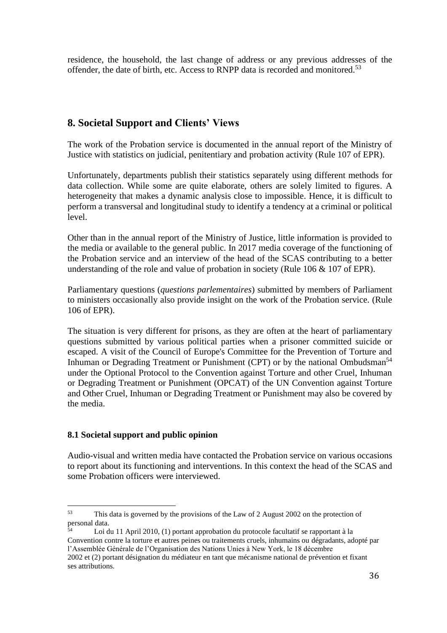residence, the household, the last change of address or any previous addresses of the offender, the date of birth, etc. Access to RNPP data is recorded and monitored.<sup>53</sup>

## **8. Societal Support and Clients' Views**

The work of the Probation service is documented in the annual report of the Ministry of Justice with statistics on judicial, penitentiary and probation activity (Rule 107 of EPR).

Unfortunately, departments publish their statistics separately using different methods for data collection. While some are quite elaborate, others are solely limited to figures. A heterogeneity that makes a dynamic analysis close to impossible. Hence, it is difficult to perform a transversal and longitudinal study to identify a tendency at a criminal or political level.

Other than in the annual report of the Ministry of Justice, little information is provided to the media or available to the general public. In 2017 media coverage of the functioning of the Probation service and an interview of the head of the SCAS contributing to a better understanding of the role and value of probation in society (Rule 106 & 107 of EPR).

Parliamentary questions (*questions parlementaires*) submitted by members of Parliament to ministers occasionally also provide insight on the work of the Probation service. (Rule 106 of EPR).

The situation is very different for prisons, as they are often at the heart of parliamentary questions submitted by various political parties when a prisoner committed suicide or escaped. A visit of the Council of Europe's Committee for the Prevention of Torture and Inhuman or Degrading Treatment or Punishment (CPT) or by the national Ombudsman<sup>54</sup> under the [Optional Protocol to the Convention against Torture and other Cruel, Inhuman](http://en.wikipedia.org/wiki/Optional_Protocol_to_the_Convention_against_Torture_and_other_Cruel,_Inhuman_or_Degrading_Treatment_or_Punishment)  [or Degrading Treatment or Punishment](http://en.wikipedia.org/wiki/Optional_Protocol_to_the_Convention_against_Torture_and_other_Cruel,_Inhuman_or_Degrading_Treatment_or_Punishment) (OPCAT) of the UN Convention against Torture and Other Cruel, Inhuman or Degrading Treatment or Punishment may also be covered by the media.

#### **8.1 Societal support and public opinion**

Audio-visual and written media have contacted the Probation service on various occasions to report about its functioning and interventions. In this context the head of the SCAS and some Probation officers were interviewed.

<sup>53</sup> This data is governed by the provisions of the Law of 2 August 2002 on the protection of personal data.

Loi du 11 April 2010, (1) portant approbation du protocole facultatif se rapportant à la Convention contre la torture et autres peines ou traitements cruels, inhumains ou dégradants, adopté par l'Assemblée Générale de l'Organisation des Nations Unies à New York, le 18 décembre

<sup>2002</sup> et (2) portant désignation du médiateur en tant que mécanisme national de prévention et fixant ses attributions.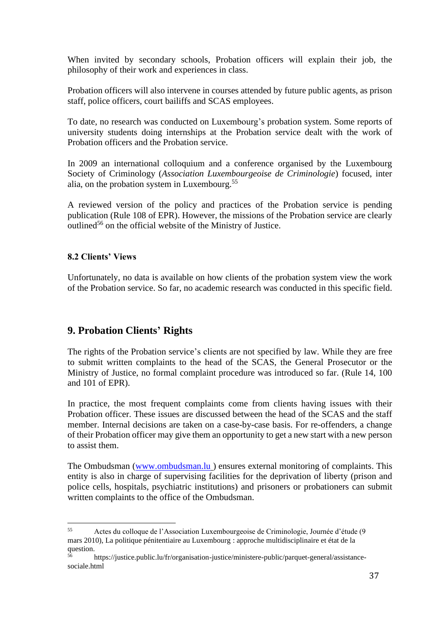When invited by secondary schools, Probation officers will explain their job, the philosophy of their work and experiences in class.

Probation officers will also intervene in courses attended by future public agents, as prison staff, police officers, court bailiffs and SCAS employees.

To date, no research was conducted on Luxembourg's probation system. Some reports of university students doing internships at the Probation service dealt with the work of Probation officers and the Probation service.

In 2009 an international colloquium and a conference organised by the Luxembourg Society of Criminology (*Association Luxembourgeoise de Criminologie*) focused, inter alia, on the probation system in Luxembourg.<sup>55</sup>

A reviewed version of the policy and practices of the Probation service is pending publication (Rule 108 of EPR). However, the missions of the Probation service are clearly outlined<sup>56</sup> on the official website of the Ministry of Justice.

## **8.2 Clients' Views**

Unfortunately, no data is available on how clients of the probation system view the work of the Probation service. So far, no academic research was conducted in this specific field.

## **9. Probation Clients' Rights**

The rights of the Probation service's clients are not specified by law. While they are free to submit written complaints to the head of the SCAS, the General Prosecutor or the Ministry of Justice, no formal complaint procedure was introduced so far. (Rule 14, 100 and 101 of EPR).

In practice, the most frequent complaints come from clients having issues with their Probation officer. These issues are discussed between the head of the SCAS and the staff member. Internal decisions are taken on a case-by-case basis. For re-offenders, a change of their Probation officer may give them an opportunity to get a new start with a new person to assist them.

The Ombudsman [\(www.ombudsman.lu](http://www.ombudsman.lu/) ) ensures external monitoring of complaints. This entity is also in charge of supervising facilities for the deprivation of liberty (prison and police cells, hospitals, psychiatric institutions) and prisoners or probationers can submit written complaints to the office of the Ombudsman.

<sup>55</sup> Actes du colloque de l'Association Luxembourgeoise de Criminologie, Journée d'étude (9 mars 2010), La politique pénitentiaire au Luxembourg : approche multidisciplinaire et état de la question.

<sup>56</sup> https://justice.public.lu/fr/organisation-justice/ministere-public/parquet-general/assistancesociale.html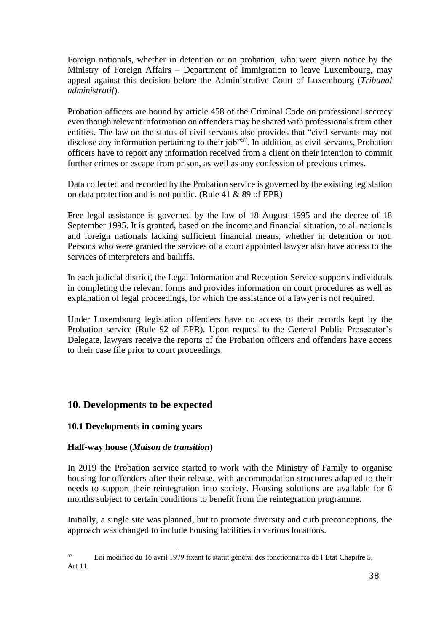Foreign nationals, whether in detention or on probation, who were given notice by the Ministry of Foreign Affairs – Department of Immigration to leave Luxembourg, may appeal against this decision before the Administrative Court of Luxembourg (*Tribunal administratif*).

Probation officers are bound by article 458 of the Criminal Code on professional secrecy even though relevant information on offenders may be shared with professionals from other entities. The law on the status of civil servants also provides that "civil servants may not disclose any information pertaining to their job<sup>557</sup>. In addition, as civil servants, Probation officers have to report any information received from a client on their intention to commit further crimes or escape from prison, as well as any confession of previous crimes.

Data collected and recorded by the Probation service is governed by the existing legislation on data protection and is not public. (Rule 41 & 89 of EPR)

Free legal assistance is governed by the law of 18 August 1995 and the decree of 18 September 1995. It is granted, based on the income and financial situation, to all nationals and foreign nationals lacking sufficient financial means, whether in detention or not. Persons who were granted the services of a court appointed lawyer also have access to the services of interpreters and bailiffs.

In each judicial district, the Legal Information and Reception Service supports individuals in completing the relevant forms and provides information on court procedures as well as explanation of legal proceedings, for which the assistance of a lawyer is not required.

Under Luxembourg legislation offenders have no access to their records kept by the Probation service (Rule 92 of EPR). Upon request to the General Public Prosecutor's Delegate, lawyers receive the reports of the Probation officers and offenders have access to their case file prior to court proceedings.

## **10. Developments to be expected**

## **10.1 Developments in coming years**

## **Half-way house (***Maison de transition***)**

In 2019 the Probation service started to work with the Ministry of Family to organise housing for offenders after their release, with accommodation structures adapted to their needs to support their reintegration into society. Housing solutions are available for 6 months subject to certain conditions to benefit from the reintegration programme.

Initially, a single site was planned, but to promote diversity and curb preconceptions, the approach was changed to include housing facilities in various locations.

<sup>57</sup> Loi modifiée du 16 avril 1979 fixant le statut général des fonctionnaires de l'Etat Chapitre 5, Art 11.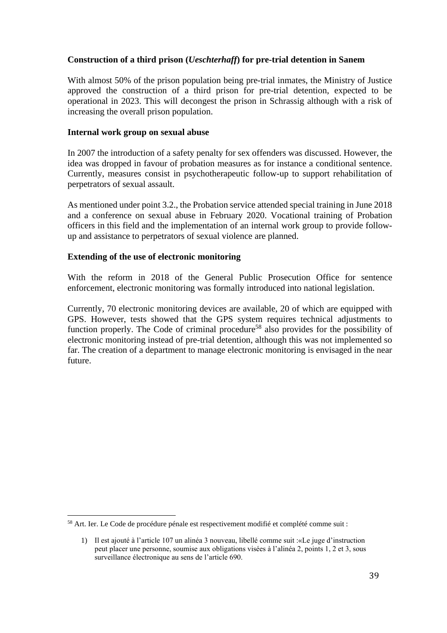## **Construction of a third prison (***Ueschterhaff***) for pre-trial detention in Sanem**

With almost 50% of the prison population being pre-trial inmates, the Ministry of Justice approved the construction of a third prison for pre-trial detention, expected to be operational in 2023. This will decongest the prison in Schrassig although with a risk of increasing the overall prison population.

#### **Internal work group on sexual abuse**

In 2007 the introduction of a safety penalty for sex offenders was discussed. However, the idea was dropped in favour of probation measures as for instance a conditional sentence. Currently, measures consist in psychotherapeutic follow-up to support rehabilitation of perpetrators of sexual assault.

As mentioned under point 3.2., the Probation service attended special training in June 2018 and a conference on sexual abuse in February 2020. Vocational training of Probation officers in this field and the implementation of an internal work group to provide followup and assistance to perpetrators of sexual violence are planned.

#### **Extending of the use of electronic monitoring**

With the reform in 2018 of the General Public Prosecution Office for sentence enforcement, electronic monitoring was formally introduced into national legislation.

Currently, 70 electronic monitoring devices are available, 20 of which are equipped with GPS. However, tests showed that the GPS system requires technical adjustments to function properly. The Code of criminal procedure<sup>58</sup> also provides for the possibility of electronic monitoring instead of pre-trial detention, although this was not implemented so far. The creation of a department to manage electronic monitoring is envisaged in the near future.

<sup>&</sup>lt;sup>58</sup> Art. Ier. Le Code de procédure pénale est respectivement modifié et complété comme suit :

<sup>1)</sup> Il est ajouté à l'article 107 un alinéa 3 nouveau, libellé comme suit :«Le juge d'instruction peut placer une personne, soumise aux obligations visées à l'alinéa 2, points 1, 2 et 3, sous surveillance électronique au sens de l'article 690.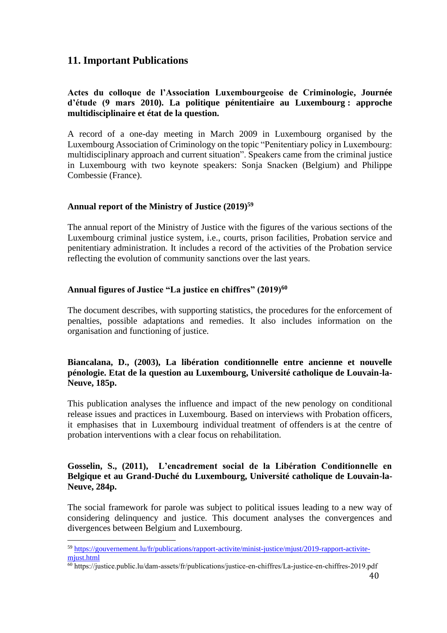# **11. Important Publications**

## **Actes du colloque de l'Association Luxembourgeoise de Criminologie, Journée d'étude (9 mars 2010). La politique pénitentiaire au Luxembourg : approche multidisciplinaire et état de la question.**

A record of a one-day meeting in March 2009 in Luxembourg organised by the Luxembourg Association of Criminology on the topic "Penitentiary policy in Luxembourg: multidisciplinary approach and current situation". Speakers came from the criminal justice in Luxembourg with two keynote speakers: Sonja Snacken (Belgium) and Philippe Combessie (France).

## **Annual report of the Ministry of Justice (2019)<sup>59</sup>**

The annual report of the Ministry of Justice with the figures of the various sections of the Luxembourg criminal justice system, i.e., courts, prison facilities, Probation service and penitentiary administration. It includes a record of the activities of the Probation service reflecting the evolution of community sanctions over the last years.

## **Annual figures of Justice "La justice en chiffres" (2019)<sup>60</sup>**

The document describes, with supporting statistics, the procedures for the enforcement of penalties, possible adaptations and remedies. It also includes information on the organisation and functioning of justice.

## **Biancalana, D., (2003), La libération conditionnelle entre ancienne et nouvelle pénologie. Etat de la question au Luxembourg, Université catholique de Louvain-la-Neuve, 185p.**

This publication analyses the influence and impact of the new penology on conditional release issues and practices in Luxembourg. Based on interviews with Probation officers, it emphasises that in Luxembourg individual treatment of offenders is at the centre of probation interventions with a clear focus on rehabilitation.

## **Gosselin, S., (2011), L'encadrement social de la Libération Conditionnelle en Belgique et au Grand-Duché du Luxembourg, Université catholique de Louvain-la-Neuve, 284p.**

The social framework for parole was subject to political issues leading to a new way of considering delinquency and justice. This document analyses the convergences and divergences between Belgium and Luxembourg.

<sup>59</sup> [https://gouvernement.lu/fr/publications/rapport-activite/minist-justice/mjust/2019-rapport-activite](https://gouvernement.lu/fr/publications/rapport-activite/minist-justice/mjust/2019-rapport-activite-mjust.html)[mjust.html](https://gouvernement.lu/fr/publications/rapport-activite/minist-justice/mjust/2019-rapport-activite-mjust.html)

<sup>60</sup> https://justice.public.lu/dam-assets/fr/publications/justice-en-chiffres/La-justice-en-chiffres-2019.pdf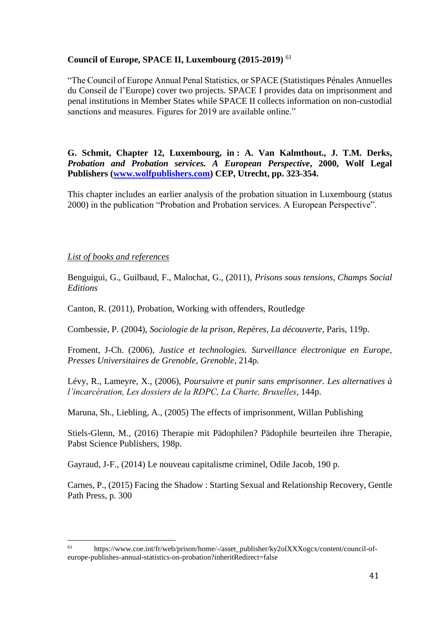## **Council of Europe, SPACE II, Luxembourg (2015-2019)** <sup>61</sup>

"The Council of Europe Annual Penal Statistics, or SPACE (Statistiques Pénales Annuelles du Conseil de l'Europe) cover two projects. SPACE I provides data on imprisonment and penal institutions in Member States while SPACE II collects information on non-custodial sanctions and measures. Figures for 2019 are available online."

**G. Schmit, Chapter 12, Luxembourg, in : A. Van Kalmthout., J. T.M. Derks,**  *Probation and Probation services. A European Perspective***, 2000, Wolf Legal Publishers [\(www.wolfpublishers.com\)](http://www.wolfpublishers.com/) CEP, Utrecht, pp. 323-354.**

This chapter includes an earlier analysis of the probation situation in Luxembourg (status 2000) in the publication "Probation and Probation services. A European Perspective".

#### *List of books and references*

Benguigui, G., Guilbaud, F., Malochat, G., (2011), *Prisons sous tensions, Champs Social Editions*

Canton, R. (2011), Probation, Working with offenders, Routledge

Combessie, P. (2004), *Sociologie de la prison, Repères, La découverte*, Paris, 119p.

Froment, J-Ch. (2006), *Justice et technologies. Surveillance électronique en Europe, Presses Universitaires de Grenoble, Grenoble*, 214p.

Lévy, R., Lameyre, X., (2006), *Poursuivre et punir sans emprisonner. Les alternatives à l'incarcération, Les dossiers de la RDPC, La Charte, Bruxelles*, 144p.

Maruna, Sh., Liebling, A., (2005) The effects of imprisonment, Willan Publishing

Stiels-Glenn, M., (2016) Therapie mit Pädophilen? Pädophile beurteilen ihre Therapie, Pabst Science Publishers, 198p.

Gayraud, J-F., (2014) Le nouveau capitalisme criminel, Odile Jacob, 190 p.

Carnes, P., (2015) Facing the Shadow : Starting Sexual and Relationship Recovery, Gentle Path Press, p. 300

<sup>61</sup> https://www.coe.int/fr/web/prison/home/-/asset\_publisher/ky2olXXXogcx/content/council-ofeurope-publishes-annual-statistics-on-probation?inheritRedirect=false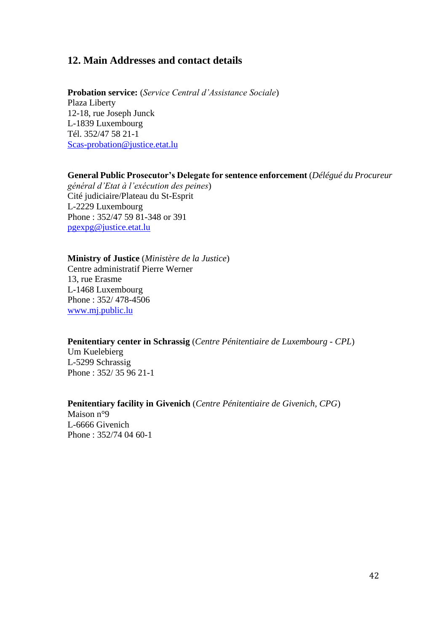## **12. Main Addresses and contact details**

**Probation service:** (*Service Central d'Assistance Sociale*) Plaza Liberty 12-18, rue Joseph Junck L-1839 Luxembourg Tél. 352/47 58 21-1 [Scas-probation@justice.etat.lu](mailto:Scas-probation@justice.etat.lu)

# **General Public Prosecutor's Delegate for sentence enforcement** (*Délégué du Procureur*

*général d'Etat à l'exécution des peines*) Cité judiciaire/Plateau du St-Esprit L-2229 Luxembourg Phone : 352/47 59 81-348 or 391 [pgexpg@justice.etat.lu](mailto:pgexpg@justice.etat.lu)

**Ministry of Justice** (*Ministère de la Justice*) Centre administratif Pierre Werner 13, rue Erasme L-1468 Luxembourg Phone : 352/ 478-4506 [www.mj.public.lu](http://www.mj.public.lu/)

#### **Penitentiary center in Schrassig** (*Centre Pénitentiaire de Luxembourg - CPL*)

Um Kuelebierg L-5299 Schrassig Phone : 352/ 35 96 21-1

## **Penitentiary facility in Givenich** (*Centre Pénitentiaire de Givenich, CPG*)

Maison n°9 L-6666 Givenich Phone : 352/74 04 60-1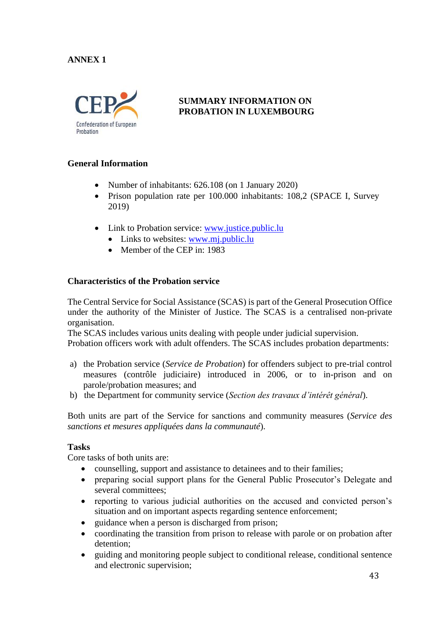## **ANNEX 1**



## **SUMMARY INFORMATION ON PROBATION IN LUXEMBOURG**

## **General Information**

- Number of inhabitants: 626.108 (on 1 January 2020)
- Prison population rate per 100.000 inhabitants: 108,2 (SPACE I, Survey 2019)
- Link to Probation service: [www.justice.public.lu](http://www.justice.public.lu/)
	- Links to websites: [www.mj.public.lu](http://www.mj.public.lu/)
	- Member of the CEP in: 1983

## **Characteristics of the Probation service**

The Central Service for Social Assistance (SCAS) is part of the General Prosecution Office under the authority of the Minister of Justice. The SCAS is a centralised non-private organisation.

The SCAS includes various units dealing with people under judicial supervision. Probation officers work with adult offenders. The SCAS includes probation departments:

- a) the Probation service (*Service de Probation*) for offenders subject to pre-trial control measures (contrôle judiciaire) introduced in 2006, or to in-prison and on parole/probation measures; and
- b) the Department for community service (*Section des travaux d'intérêt général*).

Both units are part of the Service for sanctions and community measures (*Service des sanctions et mesures appliquées dans la communauté*).

## **Tasks**

Core tasks of both units are:

- counselling, support and assistance to detainees and to their families;
- preparing social support plans for the General Public Prosecutor's Delegate and several committees;
- reporting to various judicial authorities on the accused and convicted person's situation and on important aspects regarding sentence enforcement;
- guidance when a person is discharged from prison;
- coordinating the transition from prison to release with parole or on probation after detention;
- guiding and monitoring people subject to conditional release, conditional sentence and electronic supervision;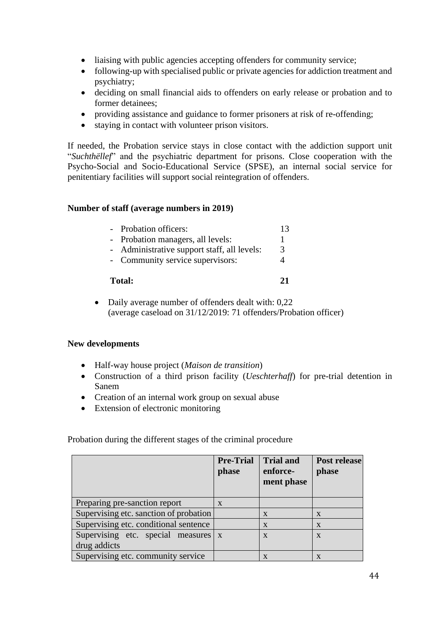- liaising with public agencies accepting offenders for community service;
- following-up with specialised public or private agencies for addiction treatment and psychiatry;
- deciding on small financial aids to offenders on early release or probation and to former detainees;
- providing assistance and guidance to former prisoners at risk of re-offending;
- staying in contact with volunteer prison visitors.

If needed, the Probation service stays in close contact with the addiction support unit "*Suchthëllef*" and the psychiatric department for prisons. Close cooperation with the Psycho-Social and Socio-Educational Service (SPSE), an internal social service for penitentiary facilities will support social reintegration of offenders.

## **Number of staff (average numbers in 2019)**

| Total:                                      | 71 |
|---------------------------------------------|----|
| - Community service supervisors:            |    |
| - Administrative support staff, all levels: | 3  |
| - Probation managers, all levels:           |    |
| - Probation officers:                       | 13 |
|                                             |    |

• Daily average number of offenders dealt with: 0,22 (average caseload on 31/12/2019: 71 offenders/Probation officer)

## **New developments**

- Half-way house project (*Maison de transition*)
- Construction of a third prison facility (*Ueschterhaff*) for pre-trial detention in Sanem
- Creation of an internal work group on sexual abuse
- Extension of electronic monitoring

Probation during the different stages of the criminal procedure

|                                                     | <b>Pre-Trial</b><br>phase | <b>Trial and</b><br>enforce-<br>ment phase | <b>Post release</b><br>phase |
|-----------------------------------------------------|---------------------------|--------------------------------------------|------------------------------|
| Preparing pre-sanction report                       | $\mathbf{X}$              |                                            |                              |
| Supervising etc. sanction of probation              |                           | $\mathbf{X}$                               | X                            |
| Supervising etc. conditional sentence               |                           | $\mathbf{X}$                               | $\mathbf{X}$                 |
| Supervising etc. special measures x<br>drug addicts |                           | $\mathbf{X}$                               | $\mathbf{X}$                 |
| Supervising etc. community service                  |                           | X                                          |                              |